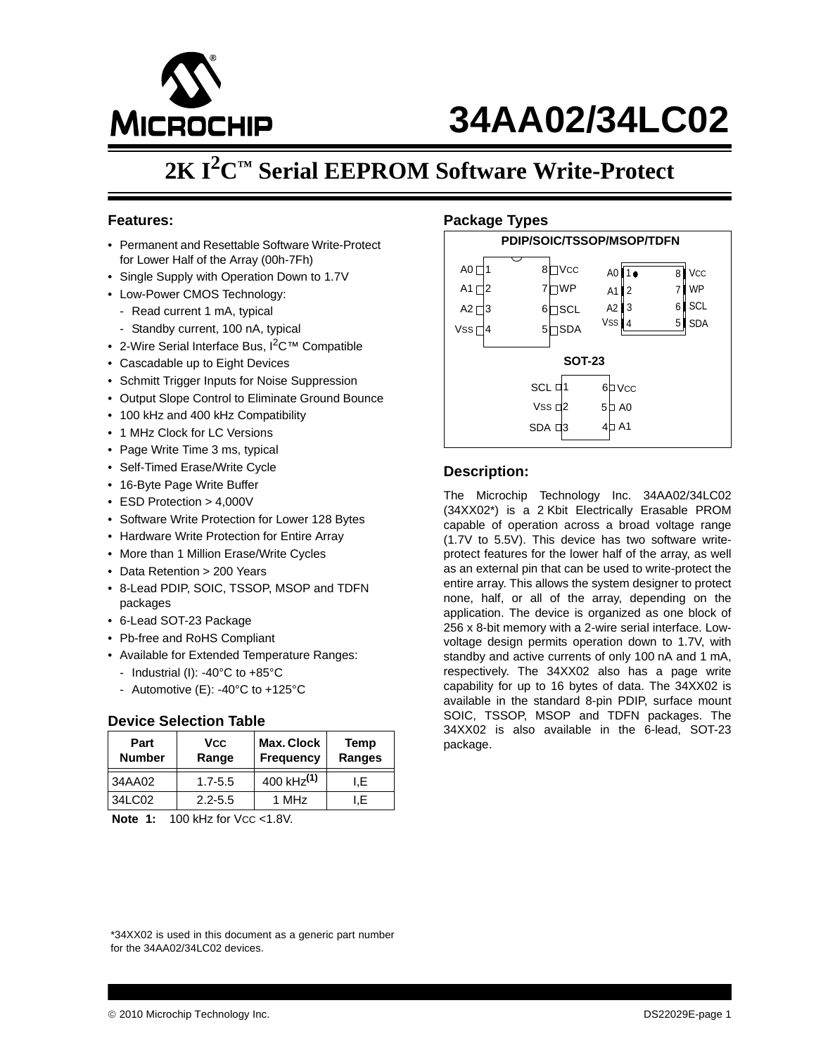

# **34AA02/34LC02**

## **2K I2C™ Serial EEPROM Software Write-Protect**

#### **Features:**

- Permanent and Resettable Software Write-Protect for Lower Half of the Array (00h-7Fh)
- Single Supply with Operation Down to 1.7V
- Low-Power CMOS Technology:
	- Read current 1 mA, typical
	- Standby current, 100 nA, typical
- 2-Wire Serial Interface Bus, I<sup>2</sup>C<sup>™</sup> Compatible
- Cascadable up to Eight Devices
- Schmitt Trigger Inputs for Noise Suppression
- Output Slope Control to Eliminate Ground Bounce
- 100 kHz and 400 kHz Compatibility
- 1 MHz Clock for LC Versions
- Page Write Time 3 ms, typical
- Self-Timed Erase/Write Cycle
- 16-Byte Page Write Buffer
- ESD Protection > 4,000V
- Software Write Protection for Lower 128 Bytes
- Hardware Write Protection for Entire Array
- More than 1 Million Erase/Write Cycles
- Data Retention > 200 Years
- 8-Lead PDIP, SOIC, TSSOP, MSOP and TDFN packages
- 6-Lead SOT-23 Package
- Pb-free and RoHS Compliant
- Available for Extended Temperature Ranges:
	- Industrial (I): -40°C to +85°C
	- Automotive (E): -40°C to +125°C

#### **Device Selection Table**

| Part<br><b>Number</b> | <b>VCC</b><br>Range | <b>Max. Clock</b><br><b>Frequency</b> | Temp<br>Ranges |
|-----------------------|---------------------|---------------------------------------|----------------|
| 34AA02                | $1.7 - 5.5$         | 400 kHz <sup>(1)</sup>                | I.E            |
| 34LC02                | $2.2 - 5.5$         | 1 MHz                                 | I.E            |

**Note 1: 100 kHz for Vcc <1.8V.** 

#### **Package Types**



#### **Description:**

The Microchip Technology Inc. 34AA02/34LC02 (34XX02\*) is a 2 Kbit Electrically Erasable PROM capable of operation across a broad voltage range (1.7V to 5.5V). This device has two software writeprotect features for the lower half of the array, as well as an external pin that can be used to write-protect the entire array. This allows the system designer to protect none, half, or all of the array, depending on the application. The device is organized as one block of 256 x 8-bit memory with a 2-wire serial interface. Lowvoltage design permits operation down to 1.7V, with standby and active currents of only 100 nA and 1 mA, respectively. The 34XX02 also has a page write capability for up to 16 bytes of data. The 34XX02 is available in the standard 8-pin PDIP, surface mount SOIC, TSSOP, MSOP and TDFN packages. The 34XX02 is also available in the 6-lead, SOT-23 package.

\*34XX02 is used in this document as a generic part number for the 34AA02/34LC02 devices.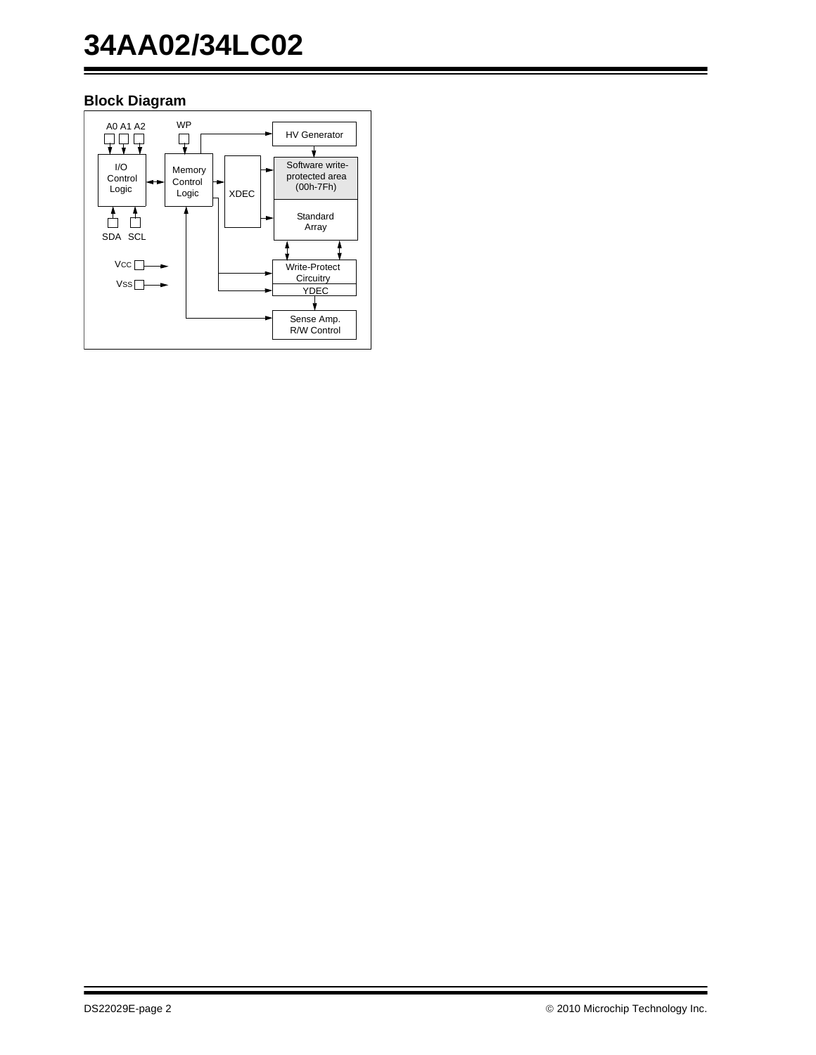# **34AA02/34LC02**

## **Block Diagram**

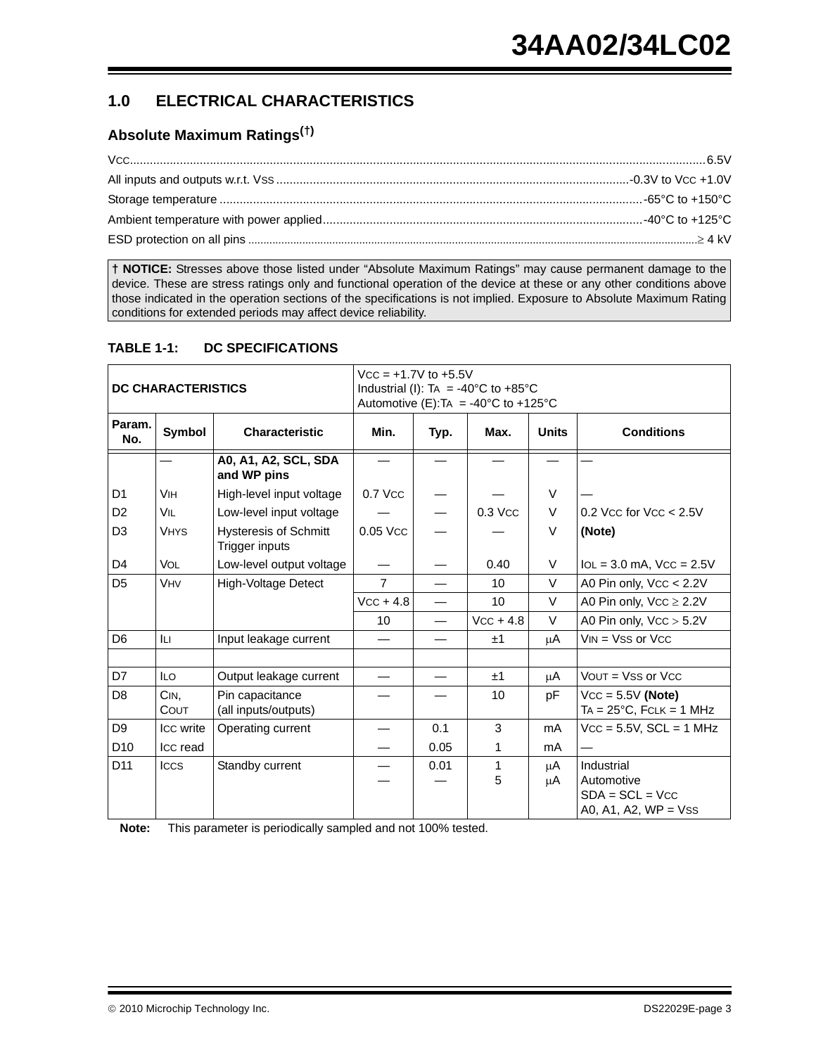## **1.0 ELECTRICAL CHARACTERISTICS**

### **Absolute Maximum Ratings(†)**

**† NOTICE:** Stresses above those listed under "Absolute Maximum Ratings" may cause permanent damage to the device. These are stress ratings only and functional operation of the device at these or any other conditions above those indicated in the operation sections of the specifications is not implied. Exposure to Absolute Maximum Rating conditions for extended periods may affect device reliability.

#### **TABLE 1-1: DC SPECIFICATIONS**

| <b>DC CHARACTERISTICS</b> |              |                                                |                | $Vcc = +1.7V$ to $+5.5V$<br>Industrial (I): TA = -40°C to +85°C<br>Automotive (E): TA = -40°C to +125°C |                 |              |                                                                         |  |  |
|---------------------------|--------------|------------------------------------------------|----------------|---------------------------------------------------------------------------------------------------------|-----------------|--------------|-------------------------------------------------------------------------|--|--|
| Param.<br>No.             | Symbol       | <b>Characteristic</b>                          | Min.           | Typ.                                                                                                    | Max.            | <b>Units</b> | <b>Conditions</b>                                                       |  |  |
|                           |              | A0, A1, A2, SCL, SDA<br>and WP pins            |                |                                                                                                         |                 |              |                                                                         |  |  |
| D <sub>1</sub>            | <b>VIH</b>   | High-level input voltage                       | $0.7$ Vcc      |                                                                                                         |                 | V            |                                                                         |  |  |
| D <sub>2</sub>            | VIL          | Low-level input voltage                        |                |                                                                                                         | $0.3$ Vcc       | V            | 0.2 Vcc for $Vcc < 2.5V$                                                |  |  |
| D <sub>3</sub>            | <b>VHYS</b>  | <b>Hysteresis of Schmitt</b><br>Trigger inputs | 0.05 Vcc       |                                                                                                         |                 | $\vee$       | (Note)                                                                  |  |  |
| D <sub>4</sub>            | <b>VOL</b>   | Low-level output voltage                       |                |                                                                                                         | 0.40            | V            | $IoL = 3.0$ mA, $VCC = 2.5V$                                            |  |  |
| D <sub>5</sub>            | <b>VHV</b>   | <b>High-Voltage Detect</b>                     | $\overline{7}$ |                                                                                                         | 10 <sup>°</sup> | $\vee$       | A0 Pin only, Vcc < 2.2V                                                 |  |  |
|                           |              |                                                | $VCC + 4.8$    | $\overline{\phantom{0}}$                                                                                | 10              | $\vee$       | A0 Pin only, $VCC \ge 2.2V$                                             |  |  |
|                           |              |                                                | 10             |                                                                                                         | $VCC + 4.8$     | $\vee$       | A0 Pin only, $VCC > 5.2V$                                               |  |  |
| D <sub>6</sub>            | ILI.         | Input leakage current                          |                |                                                                                                         | ±1              | μA           | $VIN = VSS$ or $VCC$                                                    |  |  |
|                           |              |                                                |                |                                                                                                         |                 |              |                                                                         |  |  |
| D7                        | <b>ILO</b>   | Output leakage current                         |                |                                                                                                         | ±1              | μA           | $VOUT = VSS$ or $VCC$                                                   |  |  |
| D <sub>8</sub>            | CIN.<br>COUT | Pin capacitance<br>(all inputs/outputs)        |                |                                                                                                         | 10              | рF           | $VCC = 5.5V$ (Note)<br>$TA = 25^{\circ}C$ , FCLK = 1 MHz                |  |  |
| D <sub>9</sub>            | Icc write    | Operating current                              |                | 0.1                                                                                                     | 3               | mA           | $Vcc = 5.5V$ , $SCL = 1$ MHz                                            |  |  |
| D <sub>10</sub>           | Icc read     |                                                |                | 0.05                                                                                                    | 1               | mA           |                                                                         |  |  |
| D <sub>11</sub>           | <b>ICCS</b>  | Standby current                                |                | 0.01                                                                                                    | 1<br>5          | μA<br>μA     | Industrial<br>Automotive<br>$SDA = SCL = VCC$<br>A0, A1, A2, $WP = Vss$ |  |  |

<span id="page-2-0"></span>**Note:** This parameter is periodically sampled and not 100% tested.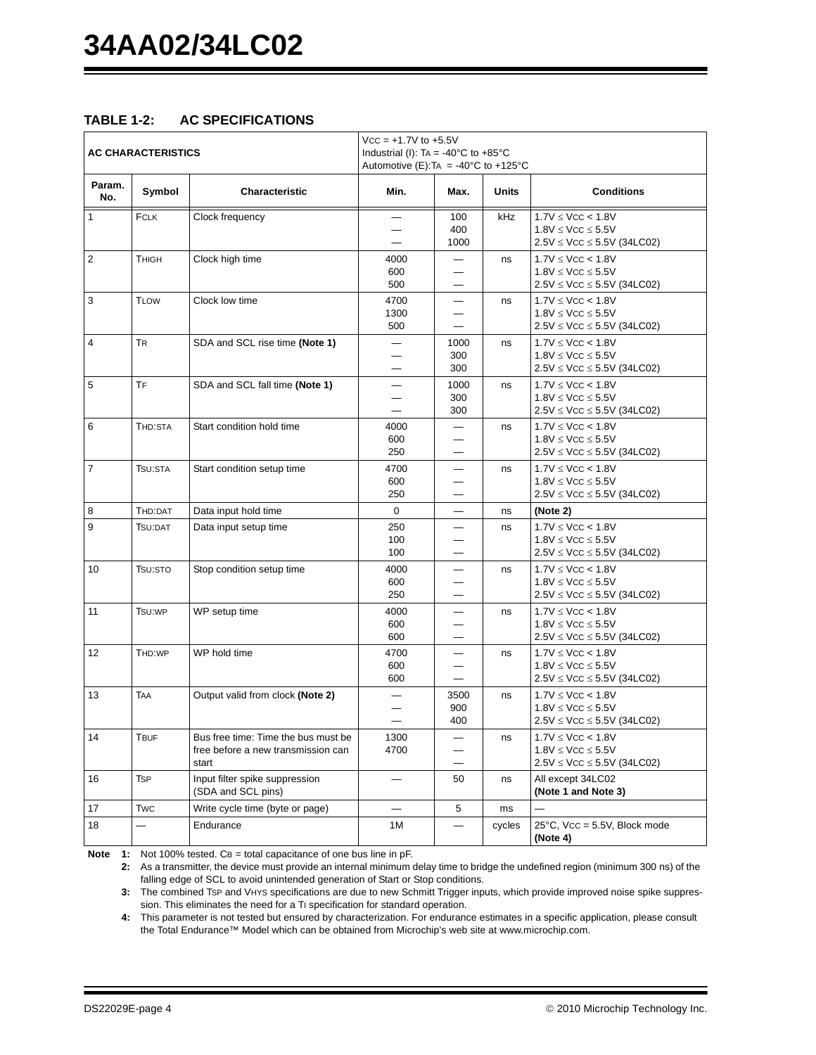#### **TABLE 1-2: AC SPECIFICATIONS**

| <b>AC CHARACTERISTICS</b> |              |                                                                                    | $Vcc = +1.7V$ to $+5.5V$<br>Industrial (I): TA = -40 $^{\circ}$ C to +85 $^{\circ}$ C<br>Automotive (E): TA = -40 $^{\circ}$ C to +125 $^{\circ}$ C |                          |              |                                                                                           |  |
|---------------------------|--------------|------------------------------------------------------------------------------------|-----------------------------------------------------------------------------------------------------------------------------------------------------|--------------------------|--------------|-------------------------------------------------------------------------------------------|--|
| Param.<br>No.             | Symbol       | Characteristic                                                                     | Min.                                                                                                                                                | Max.                     | <b>Units</b> | <b>Conditions</b>                                                                         |  |
| $\mathbf{1}$              | FCLK         | Clock frequency                                                                    |                                                                                                                                                     | 100<br>400<br>1000       | kHz          | 1.7V < VCC < 1.8V<br>$1.8V \leq VCC \leq 5.5V$<br>$2.5V \leq VCC \leq 5.5V$ (34LC02)      |  |
| 2                         | <b>THIGH</b> | Clock high time                                                                    | 4000<br>600<br>500                                                                                                                                  |                          | ns           | $1.7V \leq VCC < 1.8V$<br>$1.8V \leq VCC \leq 5.5V$<br>$2.5V \leq VCC \leq 5.5V$ (34LC02) |  |
| 3                         | <b>TLOW</b>  | Clock low time                                                                     | 4700<br>1300<br>500                                                                                                                                 |                          | ns           | $1.7V \leq VCC < 1.8V$<br>$1.8V \leq VCC \leq 5.5V$<br>$2.5V \leq VCC \leq 5.5V$ (34LC02) |  |
| 4                         | <b>TR</b>    | SDA and SCL rise time (Note 1)                                                     |                                                                                                                                                     | 1000<br>300<br>300       | ns           | $1.7V \leq VCC < 1.8V$<br>$1.8V \leq VCC \leq 5.5V$<br>$2.5V \leq VCC \leq 5.5V$ (34LC02) |  |
| 5                         | TF           | SDA and SCL fall time (Note 1)                                                     |                                                                                                                                                     | 1000<br>300<br>300       | ns           | $1.7V \leq VCC < 1.8V$<br>$1.8V \leq VCC \leq 5.5V$<br>$2.5V \leq VCC \leq 5.5V$ (34LC02) |  |
| 6                         | THD:STA      | Start condition hold time                                                          | 4000<br>600<br>250                                                                                                                                  |                          | ns           | $1.7V \leq VCC < 1.8V$<br>$1.8V \leq VCC \leq 5.5V$<br>$2.5V \leq VCC \leq 5.5V$ (34LC02) |  |
| $\overline{7}$            | TSU:STA      | Start condition setup time                                                         | 4700<br>600<br>250                                                                                                                                  | $\overline{\phantom{0}}$ | ns           | 1.7V < VCC < 1.8V<br>$1.8V \leq VCC \leq 5.5V$<br>$2.5V \leq VCC \leq 5.5V$ (34LC02)      |  |
| 8                         | THD:DAT      | Data input hold time                                                               | $\mathbf 0$                                                                                                                                         |                          | ns           | (Note 2)                                                                                  |  |
| 9                         | TSU:DAT      | Data input setup time                                                              | 250<br>100<br>100                                                                                                                                   |                          | ns           | $1.7V \leq VCC < 1.8V$<br>$1.8V \leq VCC \leq 5.5V$<br>$2.5V \leq VCC \leq 5.5V$ (34LC02) |  |
| 10                        | TSU:STO      | Stop condition setup time                                                          | 4000<br>600<br>250                                                                                                                                  |                          | ns           | $1.7V \leq VCC < 1.8V$<br>$1.8V \leq VCC \leq 5.5V$<br>$2.5V \leq VCC \leq 5.5V$ (34LC02) |  |
| 11                        | TSU:WP       | WP setup time                                                                      | 4000<br>600<br>600                                                                                                                                  |                          | ns           | $1.7V \leq VCC < 1.8V$<br>$1.8V \leq VCC \leq 5.5V$<br>$2.5V \leq VCC \leq 5.5V$ (34LC02) |  |
| 12 <sup>2</sup>           | THD:WP       | WP hold time                                                                       | 4700<br>600<br>600                                                                                                                                  | $\qquad \qquad -$        | ns           | $1.7V \leq VCC < 1.8V$<br>$1.8V \leq VCC \leq 5.5V$<br>$2.5V \leq VCC \leq 5.5V$ (34LC02) |  |
| 13                        | <b>TAA</b>   | Output valid from clock (Note 2)                                                   |                                                                                                                                                     | 3500<br>900<br>400       | ns           | $1.7V \leq VCC < 1.8V$<br>$1.8V \leq VCC \leq 5.5V$<br>$2.5V \leq VCC \leq 5.5V$ (34LC02) |  |
| 14                        | Tbuf         | Bus free time: Time the bus must be<br>free before a new transmission can<br>start | 1300<br>4700                                                                                                                                        |                          | ns           | $1.7V \leq VCC < 1.8V$<br>$1.8V \leq VCC \leq 5.5V$<br>$2.5V \leq VCC \leq 5.5V$ (34LC02) |  |
| 16                        | <b>TSP</b>   | Input filter spike suppression<br>(SDA and SCL pins)                               | $\overline{\phantom{0}}$                                                                                                                            | 50                       | ns           | All except 34LC02<br>(Note 1 and Note 3)                                                  |  |
| 17                        | <b>Twc</b>   | Write cycle time (byte or page)                                                    |                                                                                                                                                     | 5                        | ms           |                                                                                           |  |
| 18                        |              | Endurance                                                                          | 1 M                                                                                                                                                 |                          | cycles       | $25^{\circ}$ C, Vcc = 5.5V, Block mode<br>(Note 4)                                        |  |

<span id="page-3-3"></span><span id="page-3-1"></span><span id="page-3-0"></span>**Note** 1: Not 100% tested. CB = total capacitance of one bus line in pF.

**2:** As a transmitter, the device must provide an internal minimum delay time to bridge the undefined region (minimum 300 ns) of the falling edge of SCL to avoid unintended generation of Start or Stop conditions.

**3:** The combined TSP and VHYS specifications are due to new Schmitt Trigger inputs, which provide improved noise spike suppression. This eliminates the need for a TI specification for standard operation.

<span id="page-3-2"></span>**4:** This parameter is not tested but ensured by characterization. For endurance estimates in a specific application, please consult the Total Endurance™ Model which can be obtained from Microchip's web site at www.microchip.com.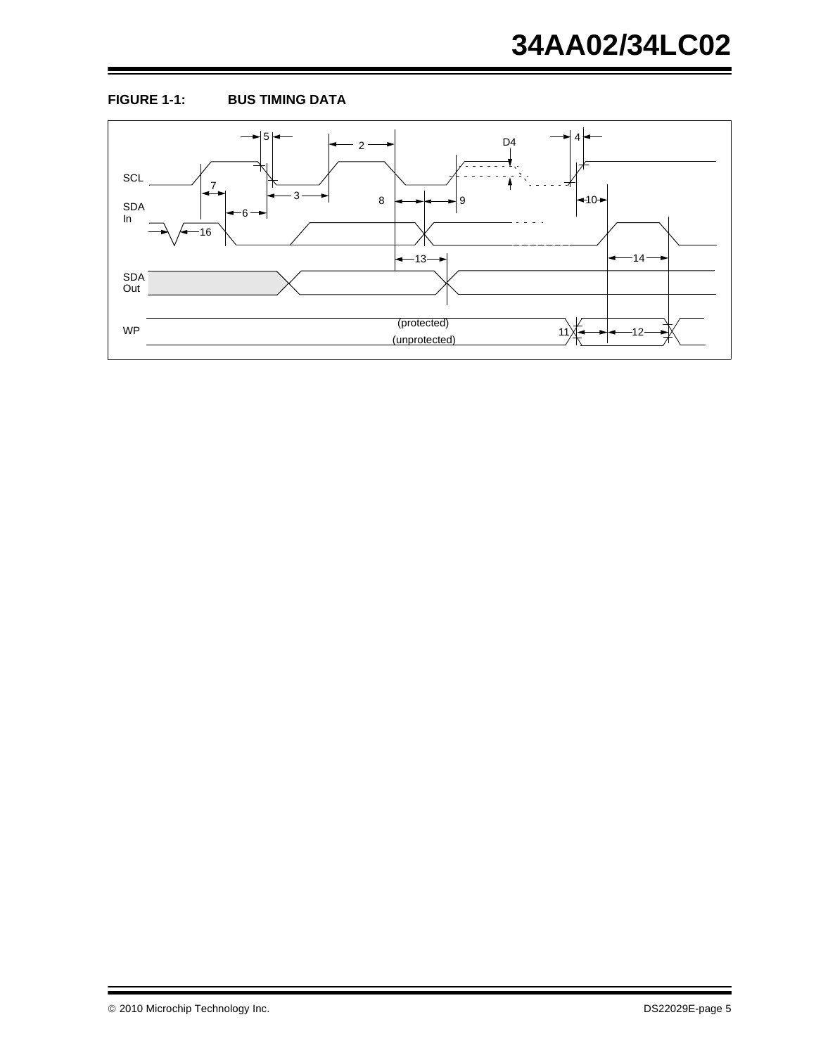

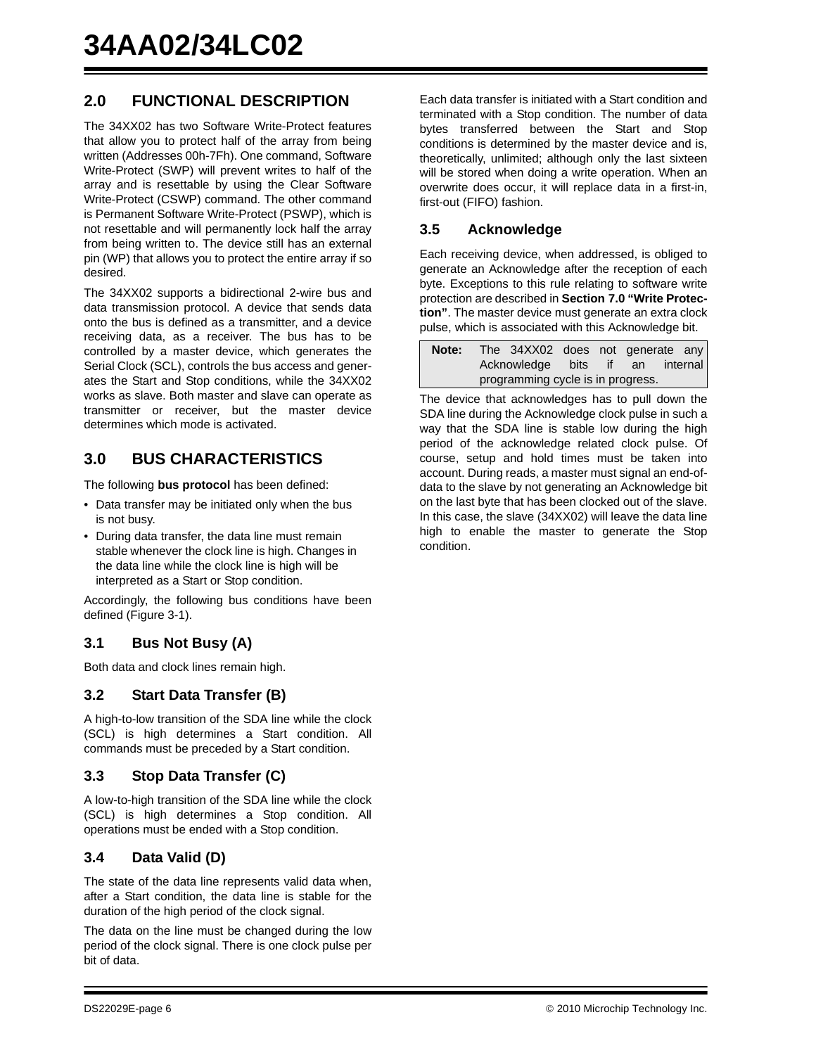## **2.0 FUNCTIONAL DESCRIPTION**

The 34XX02 has two Software Write-Protect features that allow you to protect half of the array from being written (Addresses 00h-7Fh). One command, Software Write-Protect (SWP) will prevent writes to half of the array and is resettable by using the Clear Software Write-Protect (CSWP) command. The other command is Permanent Software Write-Protect (PSWP), which is not resettable and will permanently lock half the array from being written to. The device still has an external pin (WP) that allows you to protect the entire array if so desired.

The 34XX02 supports a bidirectional 2-wire bus and data transmission protocol. A device that sends data onto the bus is defined as a transmitter, and a device receiving data, as a receiver. The bus has to be controlled by a master device, which generates the Serial Clock (SCL), controls the bus access and generates the Start and Stop conditions, while the 34XX02 works as slave. Both master and slave can operate as transmitter or receiver, but the master device determines which mode is activated.

## **3.0 BUS CHARACTERISTICS**

The following **bus protocol** has been defined:

- Data transfer may be initiated only when the bus is not busy.
- During data transfer, the data line must remain stable whenever the clock line is high. Changes in the data line while the clock line is high will be interpreted as a Start or Stop condition.

Accordingly, the following bus conditions have been defined ([Figure 3-1\)](#page-6-0).

#### **3.1 Bus Not Busy (A)**

Both data and clock lines remain high.

#### **3.2 Start Data Transfer (B)**

A high-to-low transition of the SDA line while the clock (SCL) is high determines a Start condition. All commands must be preceded by a Start condition.

#### **3.3 Stop Data Transfer (C)**

A low-to-high transition of the SDA line while the clock (SCL) is high determines a Stop condition. All operations must be ended with a Stop condition.

#### **3.4 Data Valid (D)**

The state of the data line represents valid data when, after a Start condition, the data line is stable for the duration of the high period of the clock signal.

The data on the line must be changed during the low period of the clock signal. There is one clock pulse per bit of data.

Each data transfer is initiated with a Start condition and terminated with a Stop condition. The number of data bytes transferred between the Start and Stop conditions is determined by the master device and is, theoretically, unlimited; although only the last sixteen will be stored when doing a write operation. When an overwrite does occur, it will replace data in a first-in, first-out (FIFO) fashion.

#### **3.5 Acknowledge**

Each receiving device, when addressed, is obliged to generate an Acknowledge after the reception of each byte. Exceptions to this rule relating to software write protection are described in **[Section 7.0 "Write Protec](#page-11-0)[tion"](#page-11-0)**. The master device must generate an extra clock pulse, which is associated with this Acknowledge bit.

| Note: |                                   | The 34XX02 does not generate any |  |  |  |
|-------|-----------------------------------|----------------------------------|--|--|--|
|       | Acknowledge bits if an internal   |                                  |  |  |  |
|       | programming cycle is in progress. |                                  |  |  |  |

The device that acknowledges has to pull down the SDA line during the Acknowledge clock pulse in such a way that the SDA line is stable low during the high period of the acknowledge related clock pulse. Of course, setup and hold times must be taken into account. During reads, a master must signal an end-ofdata to the slave by not generating an Acknowledge bit on the last byte that has been clocked out of the slave. In this case, the slave (34XX02) will leave the data line high to enable the master to generate the Stop condition.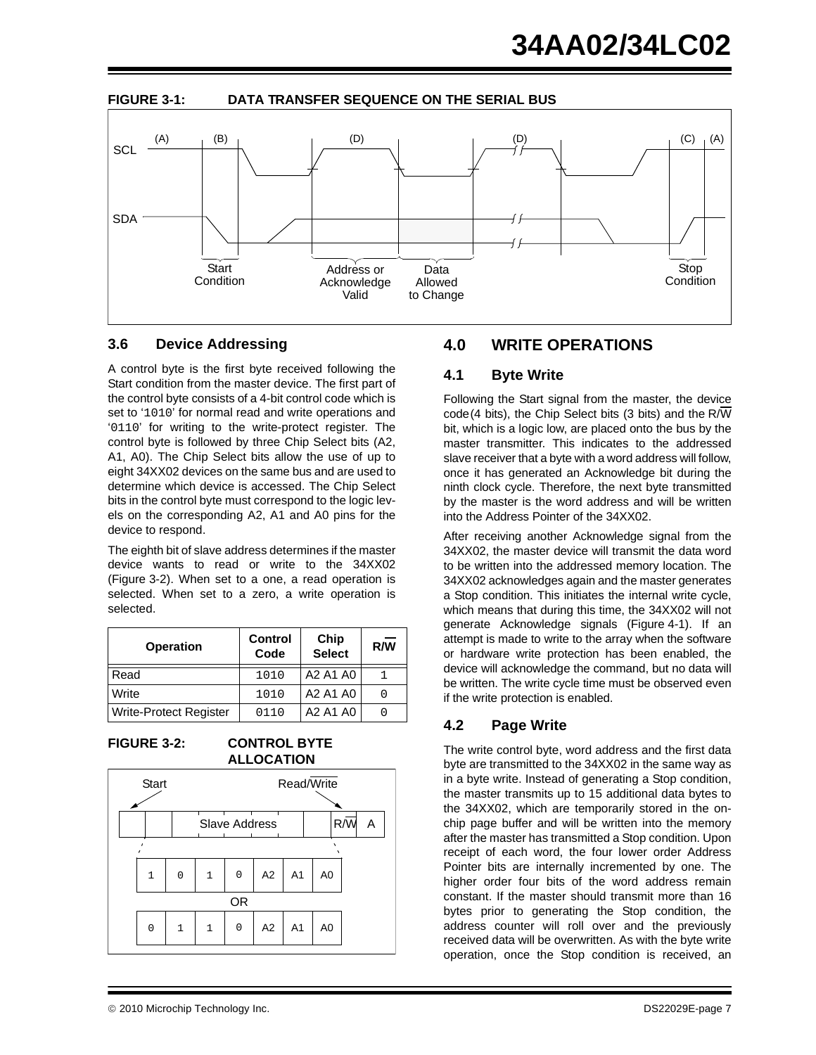<span id="page-6-0"></span>![](_page_6_Figure_1.jpeg)

![](_page_6_Figure_2.jpeg)

#### **3.6 Device Addressing**

A control byte is the first byte received following the Start condition from the master device. The first part of the control byte consists of a 4-bit control code which is set to '1010' for normal read and write operations and '0110' for writing to the write-protect register. The control byte is followed by three Chip Select bits (A2, A1, A0). The Chip Select bits allow the use of up to eight 34XX02 devices on the same bus and are used to determine which device is accessed. The Chip Select bits in the control byte must correspond to the logic levels on the corresponding A2, A1 and A0 pins for the device to respond.

The eighth bit of slave address determines if the master device wants to read or write to the 34XX02 ([Figure 3-2\)](#page-6-1). When set to a one, a read operation is selected. When set to a zero, a write operation is selected.

| <b>Operation</b>              | <b>Control</b><br>Code | Chip<br><b>Select</b> | R/W |
|-------------------------------|------------------------|-----------------------|-----|
| Read                          | 1010                   | A2 A1 A0              |     |
| Write                         | 1010                   | A2 A1 A0              | 0   |
| <b>Write-Protect Register</b> | 0110                   | A2 A1 A0              |     |

#### <span id="page-6-1"></span>**FIGURE 3-2: CONTROL BYTE ALLOCATION**

![](_page_6_Figure_8.jpeg)

## **4.0 WRITE OPERATIONS**

#### **4.1 Byte Write**

Following the Start signal from the master, the device code(4 bits), the Chip Select bits (3 bits) and the R/W bit, which is a logic low, are placed onto the bus by the master transmitter. This indicates to the addressed slave receiver that a byte with a word address will follow, once it has generated an Acknowledge bit during the ninth clock cycle. Therefore, the next byte transmitted by the master is the word address and will be written into the Address Pointer of the 34XX02.

After receiving another Acknowledge signal from the 34XX02, the master device will transmit the data word to be written into the addressed memory location. The 34XX02 acknowledges again and the master generates a Stop condition. This initiates the internal write cycle, which means that during this time, the 34XX02 will not generate Acknowledge signals ([Figure 4-1](#page-7-0)). If an attempt is made to write to the array when the software or hardware write protection has been enabled, the device will acknowledge the command, but no data will be written. The write cycle time must be observed even if the write protection is enabled.

### **4.2 Page Write**

The write control byte, word address and the first data byte are transmitted to the 34XX02 in the same way as in a byte write. Instead of generating a Stop condition, the master transmits up to 15 additional data bytes to the 34XX02, which are temporarily stored in the onchip page buffer and will be written into the memory after the master has transmitted a Stop condition. Upon receipt of each word, the four lower order Address Pointer bits are internally incremented by one. The higher order four bits of the word address remain constant. If the master should transmit more than 16 bytes prior to generating the Stop condition, the address counter will roll over and the previously received data will be overwritten. As with the byte write operation, once the Stop condition is received, an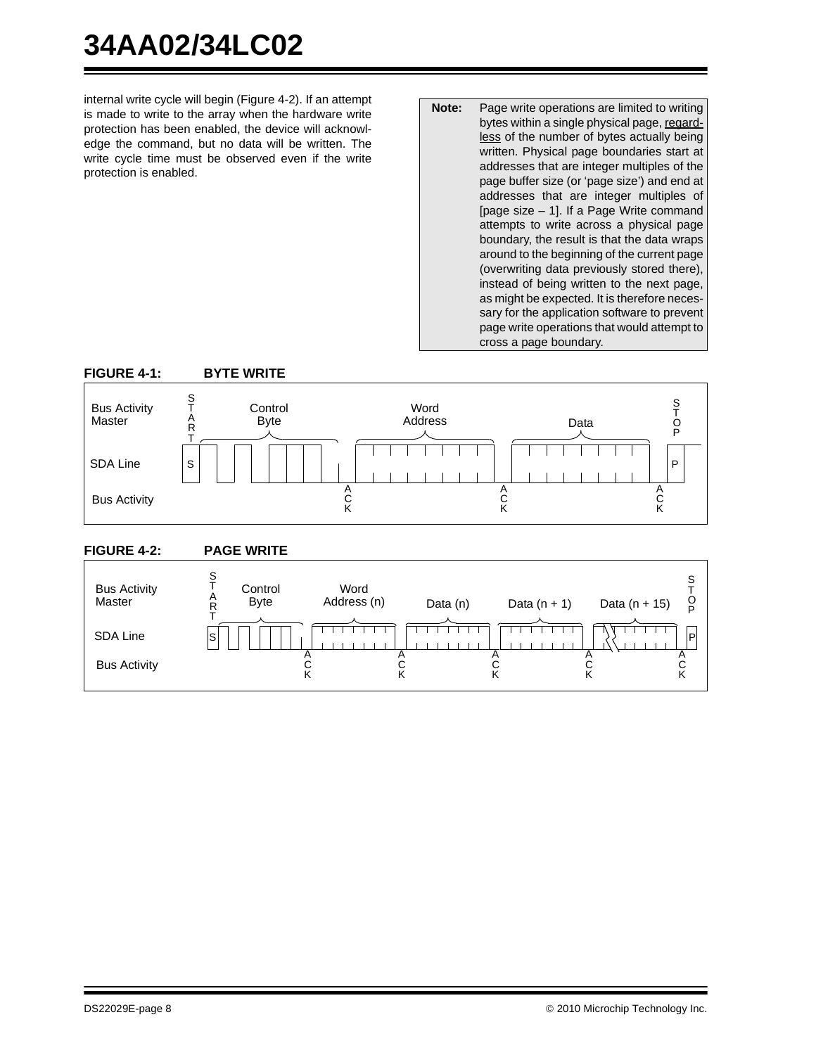# **34AA02/34LC02**

internal write cycle will begin ([Figure 4-2\)](#page-7-1). If an attempt is made to write to the array when the hardware write protection has been enabled, the device will acknowledge the command, but no data will be written. The write cycle time must be observed even if the write protection is enabled.

**Note:** Page write operations are limited to writing bytes within a single physical page, regardless of the number of bytes actually being written. Physical page boundaries start at addresses that are integer multiples of the page buffer size (or 'page size') and end at addresses that are integer multiples of [page size – 1]. If a Page Write command attempts to write across a physical page boundary, the result is that the data wraps around to the beginning of the current page (overwriting data previously stored there), instead of being written to the next page, as might be expected. It is therefore necessary for the application software to prevent page write operations that would attempt to cross a page boundary.

<span id="page-7-0"></span>![](_page_7_Figure_3.jpeg)

#### <span id="page-7-1"></span>**FIGURE 4-2: PAGE WRITE**

![](_page_7_Figure_5.jpeg)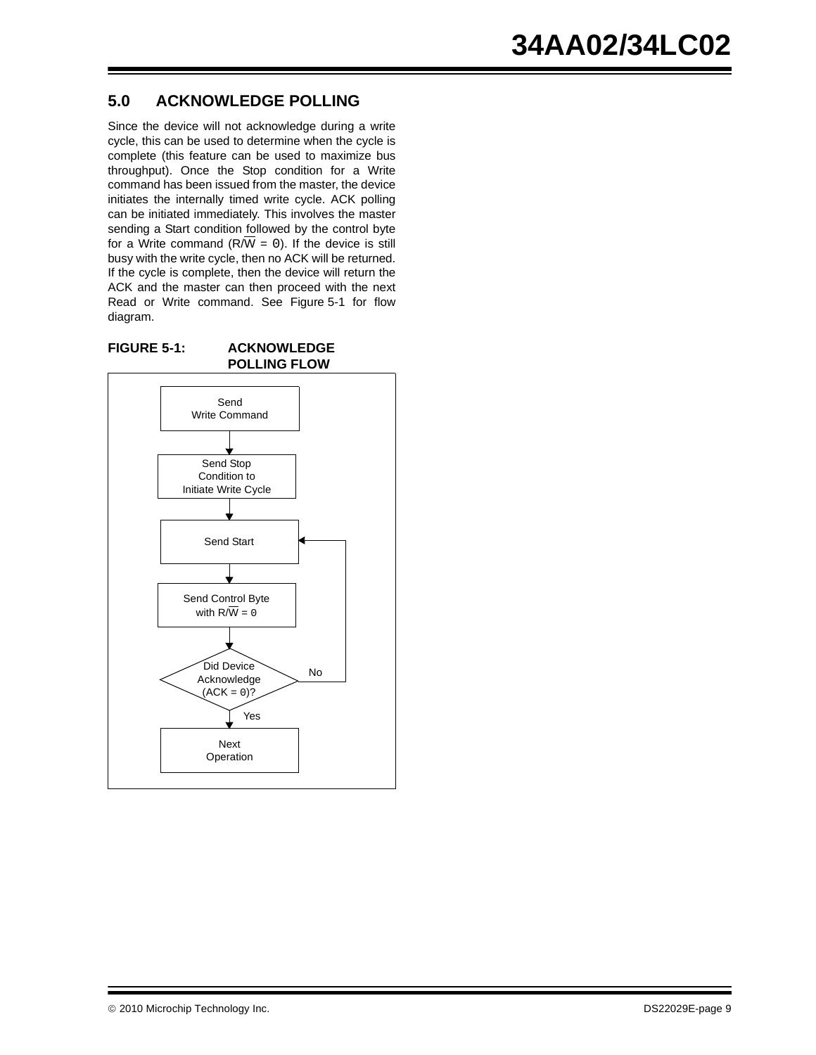## **5.0 ACKNOWLEDGE POLLING**

Since the device will not acknowledge during a write cycle, this can be used to determine when the cycle is complete (this feature can be used to maximize bus throughput). Once the Stop condition for a Write command has been issued from the master, the device initiates the internally timed write cycle. ACK polling can be initiated immediately. This involves the master sending a Start condition followed by the control byte for a Write command ( $R/\overline{W} = 0$ ). If the device is still busy with the write cycle, then no ACK will be returned. If the cycle is complete, then the device will return the ACK and the master can then proceed with the next Read or Write command. See [Figure 5-1](#page-8-0) for flow diagram.

<span id="page-8-0"></span>![](_page_8_Figure_3.jpeg)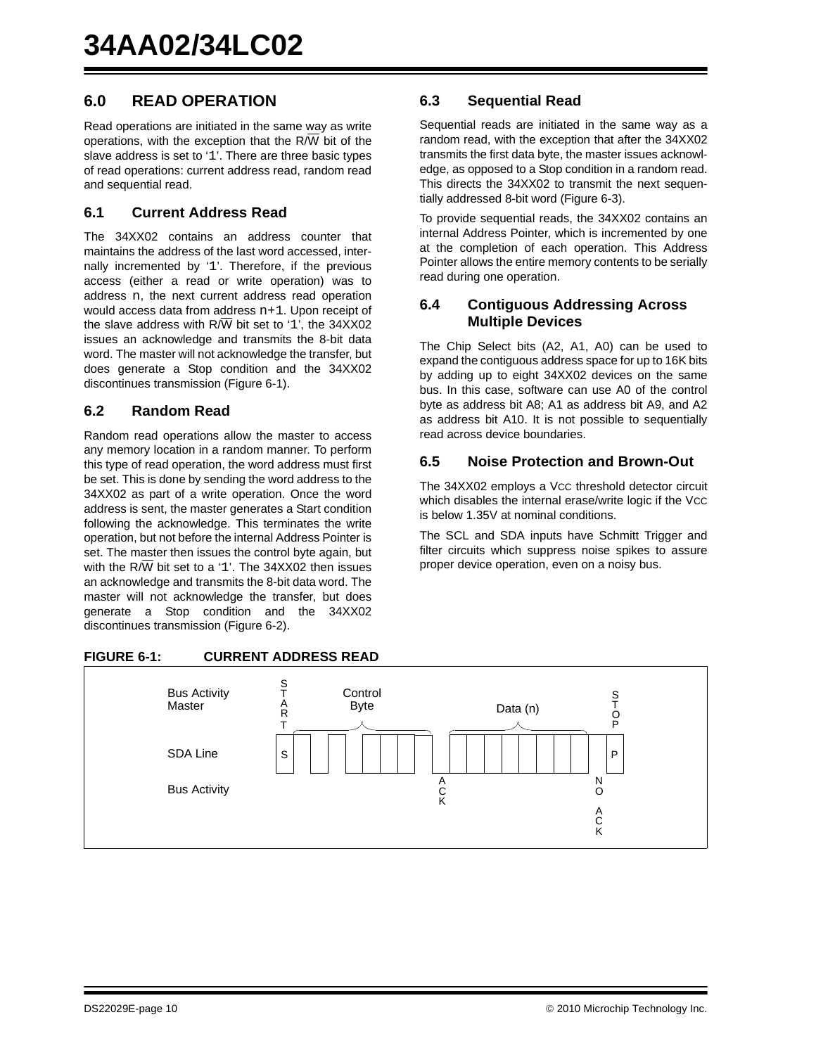## **6.0 READ OPERATION**

Read operations are initiated in the same way as write operations, with the exception that the  $R/\overline{W}$  bit of the slave address is set to '1'. There are three basic types of read operations: current address read, random read and sequential read.

#### **6.1 Current Address Read**

The 34XX02 contains an address counter that maintains the address of the last word accessed, internally incremented by '1'. Therefore, if the previous access (either a read or write operation) was to address n, the next current address read operation would access data from address  $n+1$ . Upon receipt of the slave address with  $R/\overline{W}$  bit set to '1', the 34XX02 issues an acknowledge and transmits the 8-bit data word. The master will not acknowledge the transfer, but does generate a Stop condition and the 34XX02 discontinues transmission [\(Figure 6-1](#page-9-0)).

#### **6.2 Random Read**

Random read operations allow the master to access any memory location in a random manner. To perform this type of read operation, the word address must first be set. This is done by sending the word address to the 34XX02 as part of a write operation. Once the word address is sent, the master generates a Start condition following the acknowledge. This terminates the write operation, but not before the internal Address Pointer is set. The master then issues the control byte again, but with the  $R/\overline{W}$  bit set to a '1'. The 34XX02 then issues an acknowledge and transmits the 8-bit data word. The master will not acknowledge the transfer, but does generate a Stop condition and the 34XX02 discontinues transmission [\(Figure 6-2](#page-10-0)).

#### <span id="page-9-0"></span>**FIGURE 6-1: CURRENT ADDRESS READ**

#### S P Bus Activity Master SDA Line Bus Activity S T O P **Control** Byte Data (n) A C K N O A C K S T A R T

#### **6.3 Sequential Read**

Sequential reads are initiated in the same way as a random read, with the exception that after the 34XX02 transmits the first data byte, the master issues acknowledge, as opposed to a Stop condition in a random read. This directs the 34XX02 to transmit the next sequentially addressed 8-bit word ([Figure 6-3\)](#page-10-1).

To provide sequential reads, the 34XX02 contains an internal Address Pointer, which is incremented by one at the completion of each operation. This Address Pointer allows the entire memory contents to be serially read during one operation.

#### **6.4 Contiguous Addressing Across Multiple Devices**

The Chip Select bits (A2, A1, A0) can be used to expand the contiguous address space for up to 16K bits by adding up to eight 34XX02 devices on the same bus. In this case, software can use A0 of the control byte as address bit A8; A1 as address bit A9, and A2 as address bit A10. It is not possible to sequentially read across device boundaries.

#### **6.5 Noise Protection and Brown-Out**

The 34XX02 employs a Vcc threshold detector circuit which disables the internal erase/write logic if the VCC is below 1.35V at nominal conditions.

The SCL and SDA inputs have Schmitt Trigger and filter circuits which suppress noise spikes to assure proper device operation, even on a noisy bus.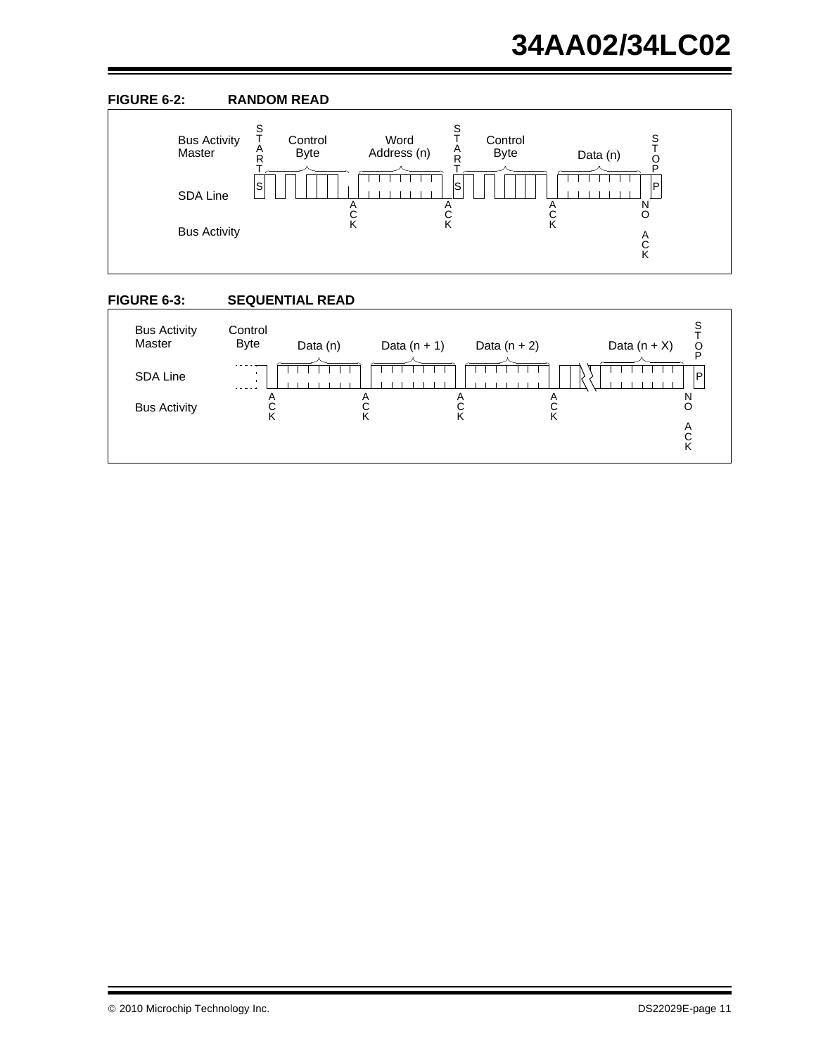<span id="page-10-0"></span>![](_page_10_Figure_1.jpeg)

<span id="page-10-1"></span>![](_page_10_Figure_2.jpeg)

![](_page_10_Figure_3.jpeg)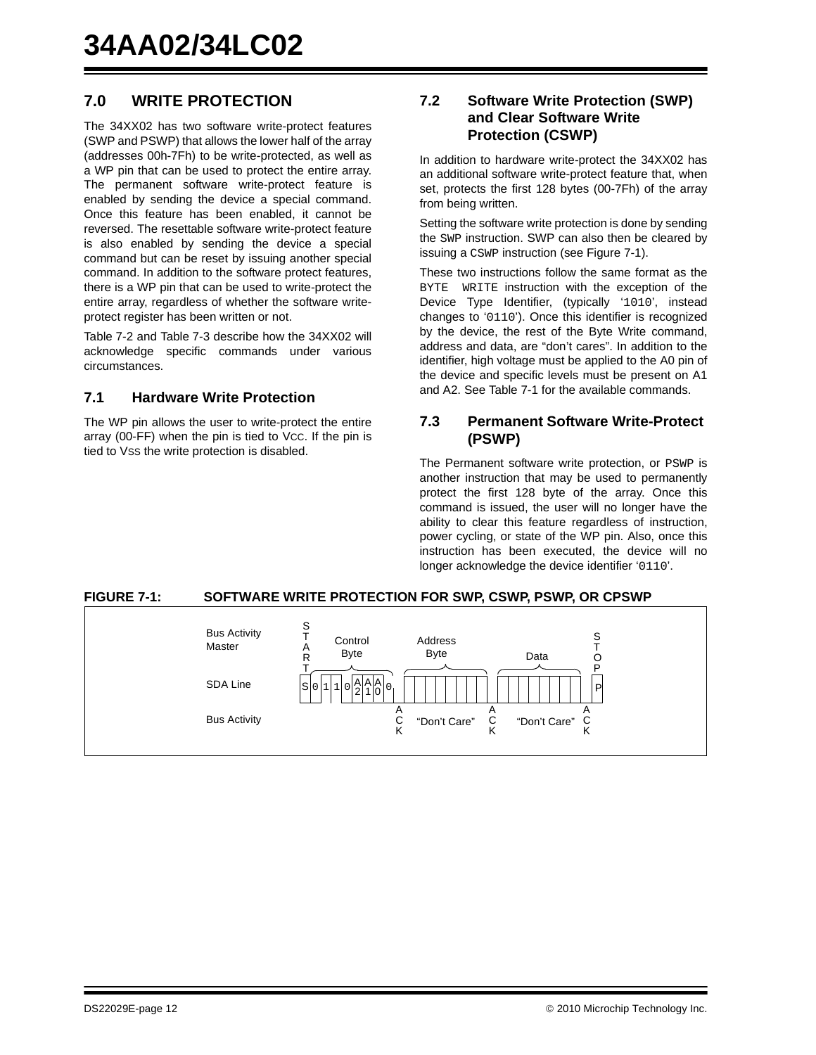## <span id="page-11-0"></span>**7.0 WRITE PROTECTION**

The 34XX02 has two software write-protect features (SWP and PSWP) that allows the lower half of the array (addresses 00h-7Fh) to be write-protected, as well as a WP pin that can be used to protect the entire array. The permanent software write-protect feature is enabled by sending the device a special command. Once this feature has been enabled, it cannot be reversed. The resettable software write-protect feature is also enabled by sending the device a special command but can be reset by issuing another special command. In addition to the software protect features, there is a WP pin that can be used to write-protect the entire array, regardless of whether the software writeprotect register has been written or not.

[Table 7-2](#page-12-1) and [Table 7-3](#page-12-2) describe how the 34XX02 will acknowledge specific commands under various circumstances.

#### **7.1 Hardware Write Protection**

The WP pin allows the user to write-protect the entire array (00-FF) when the pin is tied to VCC. If the pin is tied to VSS the write protection is disabled.

#### **7.2 Software Write Protection (SWP) and Clear Software Write Protection (CSWP)**

In addition to hardware write-protect the 34XX02 has an additional software write-protect feature that, when set, protects the first 128 bytes (00-7Fh) of the array from being written.

Setting the software write protection is done by sending the SWP instruction. SWP can also then be cleared by issuing a CSWP instruction (see [Figure 7-1](#page-11-1)).

These two instructions follow the same format as the BYTE WRITE instruction with the exception of the Device Type Identifier, (typically '1010', instead changes to '0110'). Once this identifier is recognized by the device, the rest of the Byte Write command, address and data, are "don't cares". In addition to the identifier, high voltage must be applied to the A0 pin of the device and specific levels must be present on A1 and A2. See [Table 7-1](#page-12-0) for the available commands.

#### **7.3 Permanent Software Write-Protect (PSWP)**

The Permanent software write protection, or PSWP is another instruction that may be used to permanently protect the first 128 byte of the array. Once this command is issued, the user will no longer have the ability to clear this feature regardless of instruction, power cycling, or state of the WP pin. Also, once this instruction has been executed, the device will no longer acknowledge the device identifier '0110'.

#### <span id="page-11-1"></span>**FIGURE 7-1: SOFTWARE WRITE PROTECTION FOR SWP, CSWP, PSWP, OR CPSWP**

![](_page_11_Figure_13.jpeg)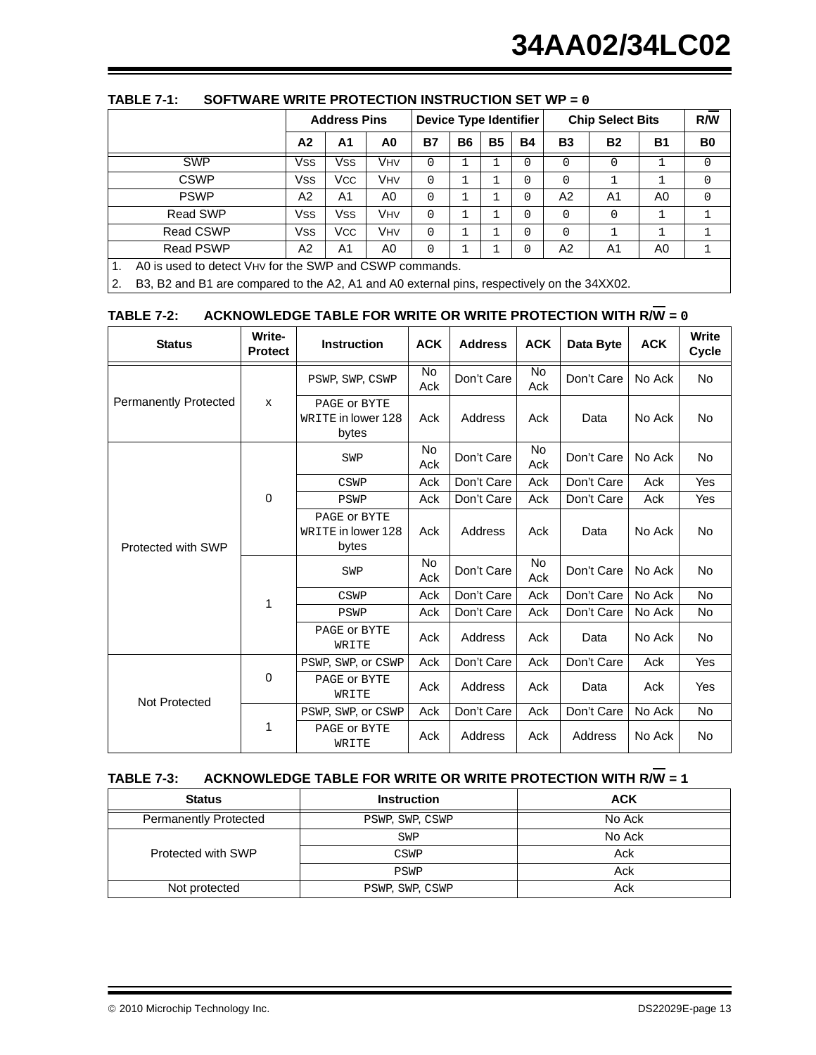|                  |                                                         | <b>Address Pins</b> |            |           | Device Type Identifier |           |           | <b>Chip Select Bits</b> |           |           | R/W            |
|------------------|---------------------------------------------------------|---------------------|------------|-----------|------------------------|-----------|-----------|-------------------------|-----------|-----------|----------------|
|                  | A <sub>2</sub>                                          | A1                  | A0         | <b>B7</b> | <b>B6</b>              | <b>B5</b> | <b>B4</b> | <b>B3</b>               | <b>B2</b> | <b>B1</b> | B <sub>0</sub> |
| <b>SWP</b>       | Vss                                                     | Vss                 | VHV        | $\Omega$  |                        |           | $\Omega$  | 0                       | $\Omega$  |           | $\Omega$       |
| <b>CSWP</b>      | <b>Vss</b>                                              | <b>VCC</b>          | <b>VHV</b> | $\Omega$  |                        |           | $\Omega$  | 0                       |           |           | $\Omega$       |
| <b>PSWP</b>      | A2                                                      | A <sub>1</sub>      | A0         | $\Omega$  |                        |           | $\Omega$  | A <sub>2</sub>          | A1        | A0        | $\Omega$       |
| Read SWP         | Vss                                                     | Vss                 | VHV        | $\Omega$  |                        |           | $\Omega$  | $\Omega$                | $\Omega$  |           |                |
| <b>Read CSWP</b> | Vss                                                     | Vcc                 | VHV        | $\Omega$  |                        | ٦         | $\Omega$  | 0                       |           |           |                |
| Read PSWP        | A2                                                      | A1                  | A0         | $\Omega$  |                        |           | 0         | A2                      | A1        | A0        |                |
|                  | A0 is used to detect VHV for the SWP and CSWP commands. |                     |            |           |                        |           |           |                         |           |           |                |

#### <span id="page-12-0"></span>**TABLE 7-1: SOFTWARE WRITE PROTECTION INSTRUCTION SET WP = 0**

2. B3, B2 and B1 are compared to the A2, A1 and A0 external pins, respectively on the 34XX02.

#### <span id="page-12-1"></span>**TABLE 7-2:** ACKNOWLEDGE TABLE FOR WRITE OR WRITE PROTECTION WITH R $\overline{W}$  = 0

| <b>Status</b>                | Write-<br><b>Protect</b> | <b>Instruction</b>                          | <b>ACK</b> | <b>Address</b> | <b>ACK</b>       | Data Byte  | <b>ACK</b> | <b>Write</b><br><b>Cycle</b> |
|------------------------------|--------------------------|---------------------------------------------|------------|----------------|------------------|------------|------------|------------------------------|
|                              |                          | PSWP, SWP, CSWP                             | No<br>Ack  | Don't Care     | <b>No</b><br>Ack | Don't Care | No Ack     | No                           |
| <b>Permanently Protected</b> | X                        | PAGE OF BYTE<br>WRITE in lower 128<br>bytes | Ack        | Address        | Ack              | Data       | No Ack     | <b>No</b>                    |
|                              |                          | SWP                                         | No<br>Ack  | Don't Care     | No<br>Ack        | Don't Care | No Ack     | No                           |
|                              |                          | CSWP                                        | Ack        | Don't Care     | Ack              | Don't Care | Ack        | Yes                          |
| Protected with SWP           | $\mathbf 0$              | PSWP                                        | Ack        | Don't Care     | Ack              | Don't Care | Ack        | Yes                          |
|                              |                          | PAGE OF BYTE<br>WRITE in lower 128<br>bytes | Ack        | Address        | Ack              | Data       | No Ack     | <b>No</b>                    |
|                              |                          | SWP                                         | No<br>Ack  | Don't Care     | No<br>Ack        | Don't Care | No Ack     | No                           |
|                              | 1                        | CSWP                                        | Ack        | Don't Care     | Ack              | Don't Care | No Ack     | No                           |
|                              |                          | PSWP                                        | Ack        | Don't Care     | Ack              | Don't Care | No Ack     | No                           |
|                              |                          | PAGE OF BYTE<br>WRITE                       | Ack        | Address        | Ack              | Data       | No Ack     | No                           |
|                              |                          | PSWP, SWP, Or CSWP                          | Ack        | Don't Care     | Ack              | Don't Care | Ack        | Yes                          |
| Not Protected                | $\mathbf 0$              | PAGE OF BYTE<br>WRITE                       | Ack        | Address        | Ack              | Data       | Ack        | Yes                          |
|                              |                          | PSWP, SWP, Or CSWP                          | Ack        | Don't Care     | Ack              | Don't Care | No Ack     | No                           |
|                              | 1                        | PAGE OF BYTE<br>WRITE                       | Ack        | Address        | Ack              | Address    | No Ack     | No                           |

## <span id="page-12-2"></span>**TABLE 7-3:** ACKNOWLEDGE TABLE FOR WRITE OR WRITE PROTECTION WITH R $\overline{W}$  = 1

| <b>Status</b>                | <b>Instruction</b> | <b>ACK</b> |
|------------------------------|--------------------|------------|
| <b>Permanently Protected</b> | PSWP, SWP, CSWP    | No Ack     |
|                              | SWP                | No Ack     |
| Protected with SWP           | <b>CSWP</b>        | Ack        |
|                              | PSWP               | Ack        |
| Not protected                | PSWP, SWP, CSWP    | Ack        |

2010 Microchip Technology Inc. DS22029E-page 13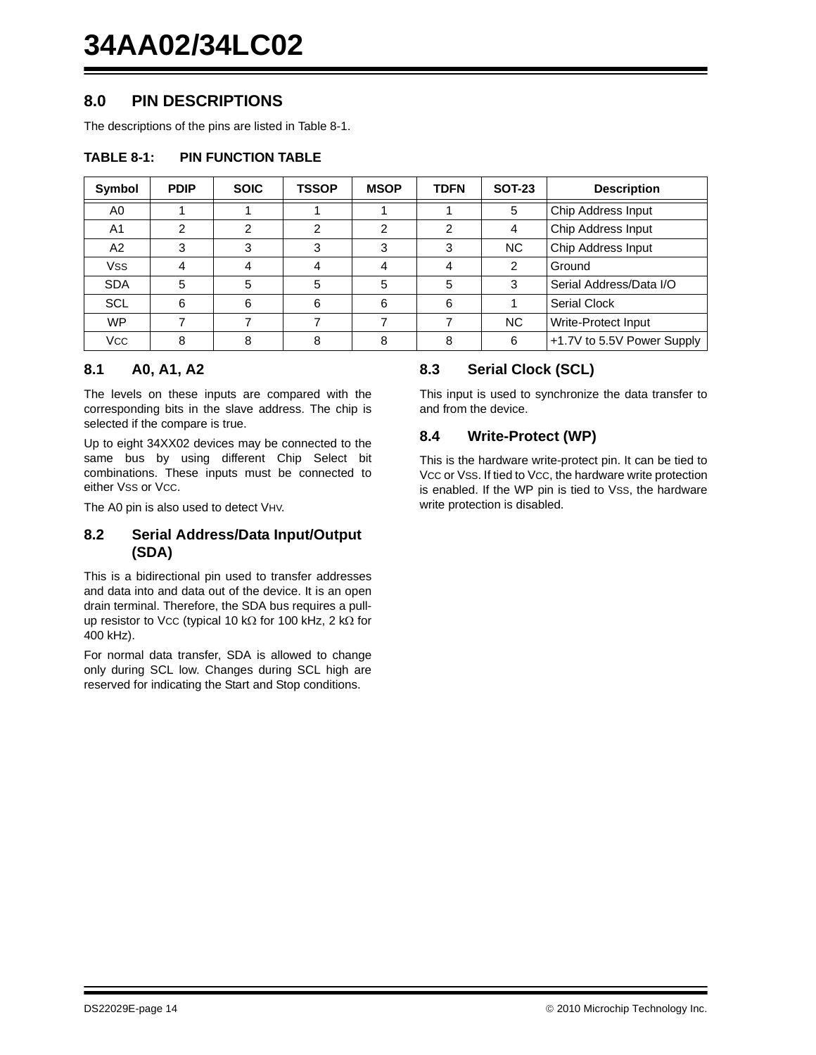### **8.0 PIN DESCRIPTIONS**

The descriptions of the pins are listed in [Table 8-1.](#page-13-0)

#### <span id="page-13-0"></span>**TABLE 8-1: PIN FUNCTION TABLE**

| Symbol         | <b>PDIP</b> | <b>SOIC</b> | <b>TSSOP</b> | <b>MSOP</b> | <b>TDFN</b> | <b>SOT-23</b> | <b>Description</b>         |  |
|----------------|-------------|-------------|--------------|-------------|-------------|---------------|----------------------------|--|
| A0             |             |             |              |             |             | 5             | Chip Address Input         |  |
| A <sub>1</sub> | ⌒           | っ           | າ            | 2           | າ           | 4             | Chip Address Input         |  |
| A2             | 3           | 3           | 3            | 3           | 3           | <b>NC</b>     | Chip Address Input         |  |
| <b>Vss</b>     |             |             |              |             |             | 2             | Ground                     |  |
| <b>SDA</b>     | 5           | 5           | 5            | 5           | 5           | 3             | Serial Address/Data I/O    |  |
| <b>SCL</b>     | 6           | 6           | 6            | 6           | 6           |               | Serial Clock               |  |
| <b>WP</b>      |             |             |              |             |             | <b>NC</b>     | Write-Protect Input        |  |
| <b>VCC</b>     | 8           |             | 8            | 8           |             | 6             | +1.7V to 5.5V Power Supply |  |

#### **8.1 A0, A1, A2**

The levels on these inputs are compared with the corresponding bits in the slave address. The chip is selected if the compare is true.

Up to eight 34XX02 devices may be connected to the same bus by using different Chip Select bit combinations. These inputs must be connected to either Vss or Vcc.

The A0 pin is also used to detect VHV.

#### **8.2 Serial Address/Data Input/Output (SDA)**

This is a bidirectional pin used to transfer addresses and data into and data out of the device. It is an open drain terminal. Therefore, the SDA bus requires a pullup resistor to Vcc (typical 10 k $\Omega$  for 100 kHz, 2 k $\Omega$  for 400 kHz).

For normal data transfer, SDA is allowed to change only during SCL low. Changes during SCL high are reserved for indicating the Start and Stop conditions.

#### **8.3 Serial Clock (SCL)**

This input is used to synchronize the data transfer to and from the device.

#### **8.4 Write-Protect (WP)**

This is the hardware write-protect pin. It can be tied to Vcc or Vss. If tied to Vcc, the hardware write protection is enabled. If the WP pin is tied to VSS, the hardware write protection is disabled.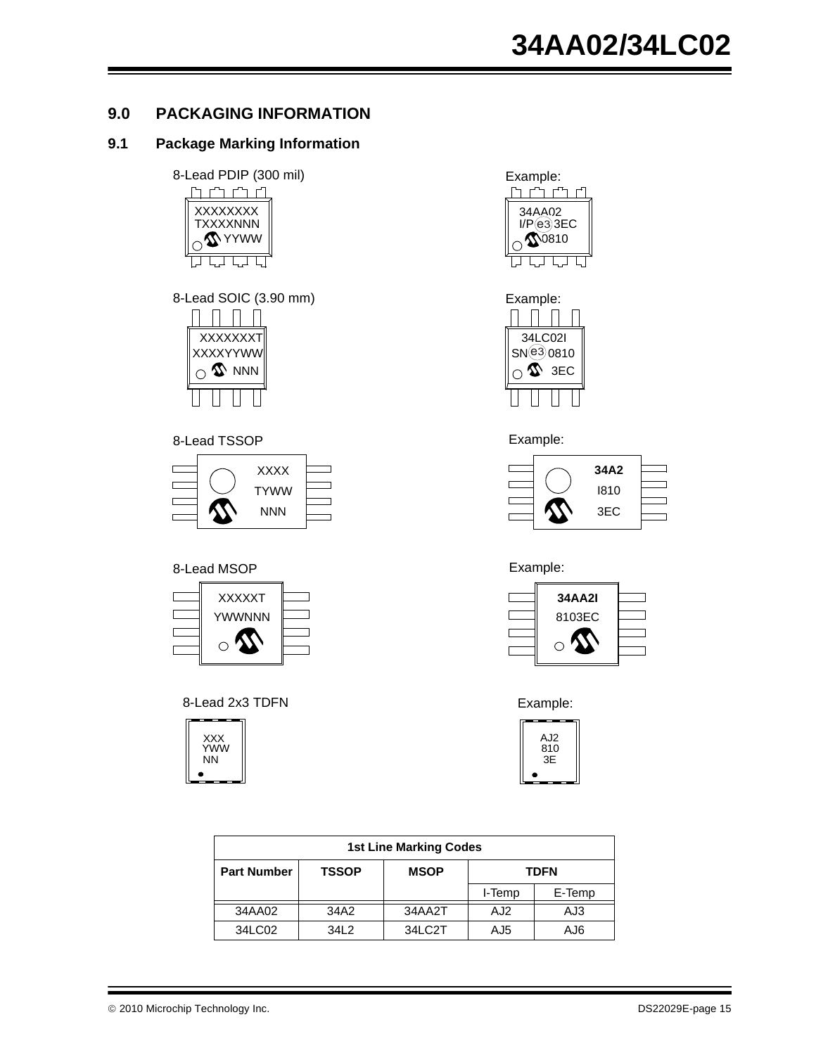## **9.0 PACKAGING INFORMATION**

#### **9.1 Package Marking Information**

![](_page_14_Figure_3.jpeg)

8-Lead SOIC (3.90 mm) Example:

![](_page_14_Picture_5.jpeg)

#### 8-Lead TSSOP **Example:**

|  | <b>XXXX</b> |  |
|--|-------------|--|
|  | <b>TYWW</b> |  |
|  | <b>NNN</b>  |  |
|  |             |  |

#### 8-Lead MSOP **Example:**

![](_page_14_Figure_9.jpeg)

8-Lead 2x3 TDFN

![](_page_14_Picture_11.jpeg)

![](_page_14_Picture_12.jpeg)

![](_page_14_Figure_13.jpeg)

![](_page_14_Figure_15.jpeg)

![](_page_14_Figure_17.jpeg)

Example:

![](_page_14_Picture_19.jpeg)

| <b>1st Line Marking Codes</b>                                    |      |        |        |        |  |  |  |  |  |  |
|------------------------------------------------------------------|------|--------|--------|--------|--|--|--|--|--|--|
| <b>MSOP</b><br><b>Part Number</b><br><b>TSSOP</b><br><b>TDFN</b> |      |        |        |        |  |  |  |  |  |  |
|                                                                  |      |        | I-Temp | E-Temp |  |  |  |  |  |  |
| 34AA02                                                           | 34A2 | 34AA2T | AJ2    | AJ3    |  |  |  |  |  |  |
| 34LC02                                                           | 3412 | 34LC2T | AJ5    | AJ6    |  |  |  |  |  |  |

2010 Microchip Technology Inc. DS22029E-page 15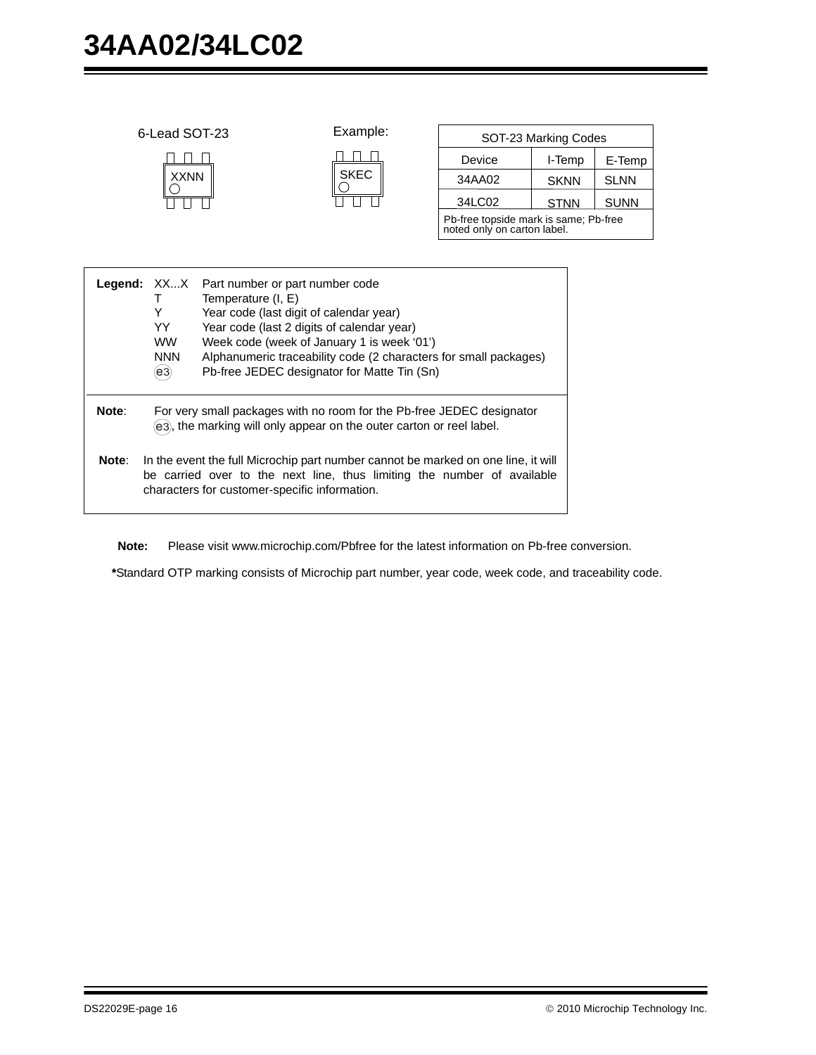|       | 6-Lead SOT-23<br><b>XXNN</b>                                                                                                                                                                                                                                                                                                                                                       |  | Example:<br><b>SKEC</b> | Device<br>34AA02<br>34LC02                                           | SOT-23 Marking Codes<br>I-Temp<br><b>SKNN</b> | E-Temp<br><b>SLNN</b> |
|-------|------------------------------------------------------------------------------------------------------------------------------------------------------------------------------------------------------------------------------------------------------------------------------------------------------------------------------------------------------------------------------------|--|-------------------------|----------------------------------------------------------------------|-----------------------------------------------|-----------------------|
|       |                                                                                                                                                                                                                                                                                                                                                                                    |  |                         | Pb-free topside mark is same; Pb-free<br>noted only on carton label. | <b>STNN</b>                                   | <b>SUNN</b>           |
|       | Legend: XXX<br>Part number or part number code<br>Temperature (I, E)<br>т<br>Y<br>Year code (last digit of calendar year)<br>YY.<br>Year code (last 2 digits of calendar year)<br><b>WW</b><br>Week code (week of January 1 is week '01')<br>Alphanumeric traceability code (2 characters for small packages)<br><b>NNN</b><br>Pb-free JEDEC designator for Matte Tin (Sn)<br>(e3) |  |                         |                                                                      |                                               |                       |
| Note: | For very small packages with no room for the Pb-free JEDEC designator<br>(e3), the marking will only appear on the outer carton or reel label.                                                                                                                                                                                                                                     |  |                         |                                                                      |                                               |                       |
| Note: | In the event the full Microchip part number cannot be marked on one line, it will<br>be carried over to the next line, thus limiting the number of available<br>characters for customer-specific information.                                                                                                                                                                      |  |                         |                                                                      |                                               |                       |

**Note:** Please visit www.microchip.com/Pbfree for the latest information on Pb-free conversion.

**\***Standard OTP marking consists of Microchip part number, year code, week code, and traceability code.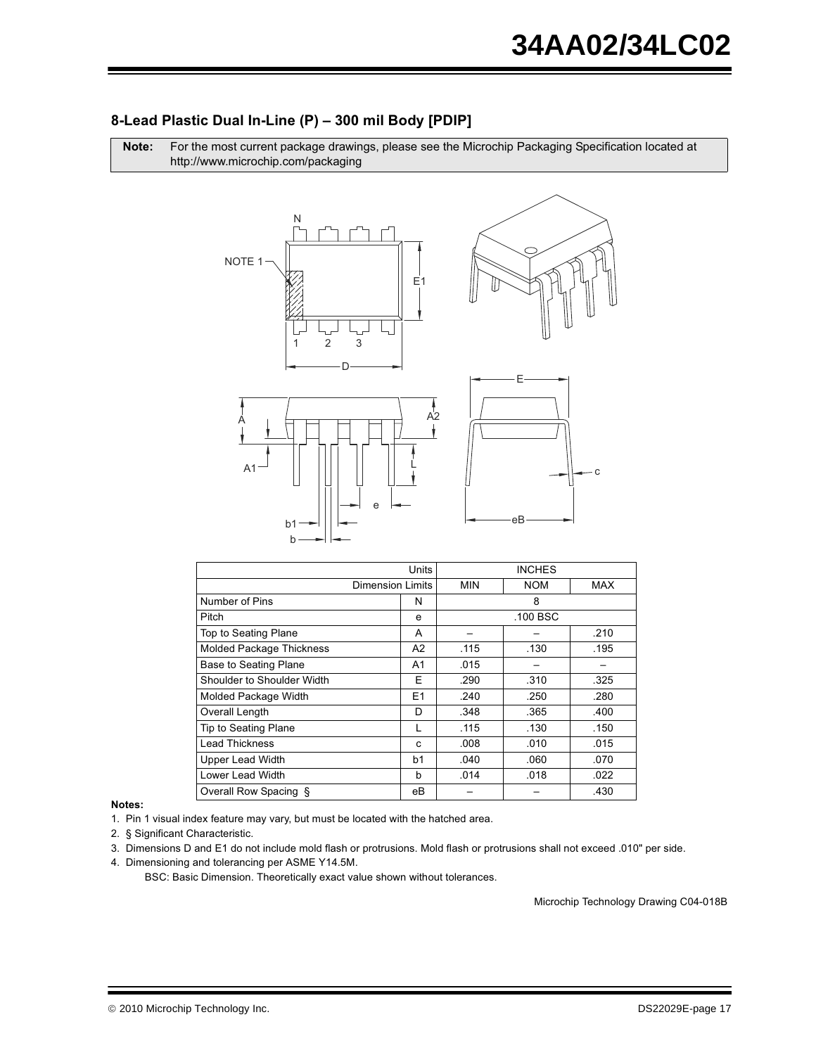## 8-Lead Plastic Dual In-Line (P) - 300 mil Body [PDIP]

Note: For the most current package drawings, please see the Microchip Packaging Specification located at http://www.microchip.com/packaging

![](_page_16_Figure_3.jpeg)

|                                 | Units          |            | <b>INCHES</b> |      |
|---------------------------------|----------------|------------|---------------|------|
| <b>Dimension Limits</b>         |                | <b>MIN</b> | <b>NOM</b>    | MAX  |
| Number of Pins                  | N              |            | 8             |      |
| Pitch                           | e              |            | .100 BSC      |      |
| Top to Seating Plane            | A              |            |               | .210 |
| <b>Molded Package Thickness</b> | A2             | .115       | .130          | .195 |
| Base to Seating Plane           | A1             | .015       |               |      |
| Shoulder to Shoulder Width      | Е              | .290       | .310          | .325 |
| Molded Package Width            | E <sub>1</sub> | .240       | .250          | .280 |
| Overall Length                  | D              | .348       | .365          | .400 |
| Tip to Seating Plane            | L              | .115       | .130          | .150 |
| <b>Lead Thickness</b>           | C              | .008       | .010          | .015 |
| <b>Upper Lead Width</b>         | b1             | .040       | .060          | .070 |
| Lower Lead Width                | b              | .014       | .018          | .022 |
| Overall Row Spacing §           | eВ             |            |               | .430 |

#### Notes:

1. Pin 1 visual index feature may vary, but must be located with the hatched area.

2. § Significant Characteristic.

3. Dimensions D and E1 do not include mold flash or protrusions. Mold flash or protrusions shall not exceed .010" per side.

4. Dimensioning and tolerancing per ASME Y14.5M.

BSC: Basic Dimension. Theoretically exact value shown without tolerances.

Microchip Technology Drawing C04-018B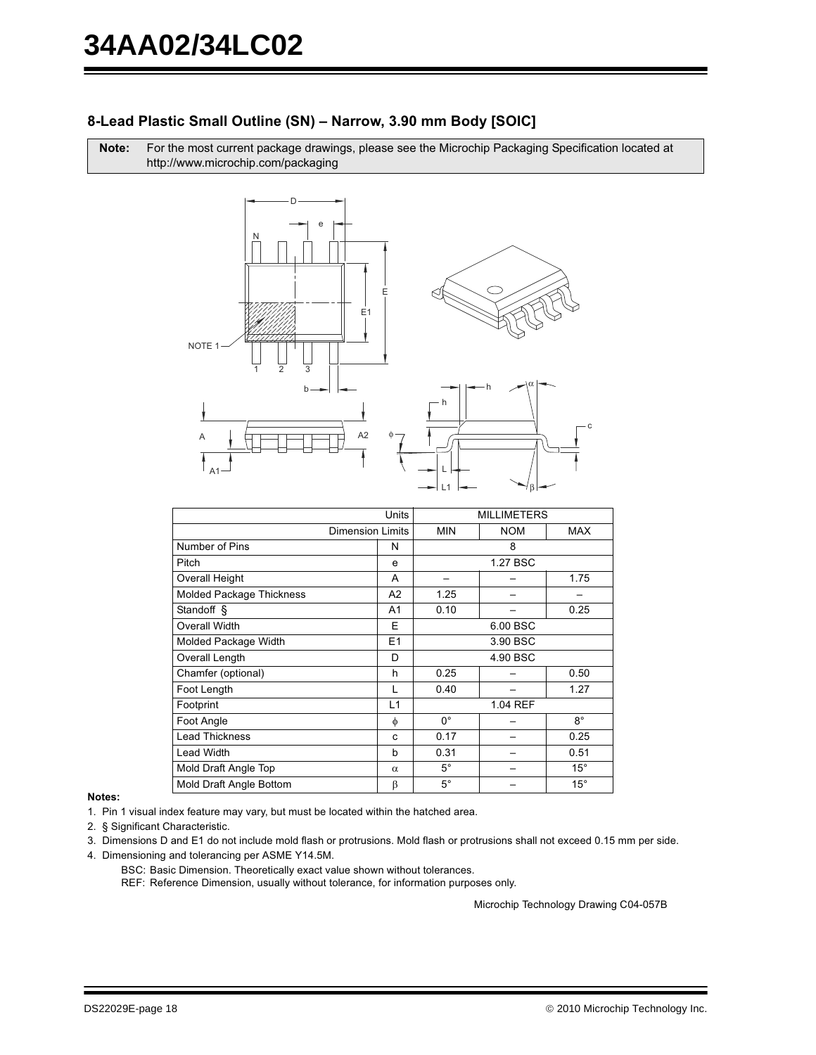#### 8-Lead Plastic Small Outline (SN) - Narrow, 3.90 mm Body [SOIC]

Note: For the most current package drawings, please see the Microchip Packaging Specification located at http://www.microchip.com/packaging

![](_page_17_Figure_3.jpeg)

|                                 | Units                   |             | <b>MILLIMETERS</b> |              |
|---------------------------------|-------------------------|-------------|--------------------|--------------|
|                                 | <b>Dimension Limits</b> | <b>MIN</b>  | <b>NOM</b>         | MAX          |
| Number of Pins                  | N                       |             | 8                  |              |
| Pitch                           | e                       |             | 1.27 BSC           |              |
| Overall Height                  | A                       |             |                    | 1.75         |
| <b>Molded Package Thickness</b> | A <sub>2</sub>          | 1.25        |                    |              |
| Standoff §                      | A <sub>1</sub>          | 0.10        |                    | 0.25         |
| Overall Width<br>E<br>6.00 BSC  |                         |             |                    |              |
| Molded Package Width            | E1                      |             | 3.90 BSC           |              |
| Overall Length                  | D                       |             | 4.90 BSC           |              |
| Chamfer (optional)              | h                       | 0.25        |                    | 0.50         |
| Foot Length                     | L                       | 0.40        |                    | 1.27         |
| Footprint                       | L1                      |             | 1.04 REF           |              |
| Foot Angle                      | φ                       | $0^{\circ}$ |                    | $8^{\circ}$  |
| <b>Lead Thickness</b>           | C                       | 0.17        |                    | 0.25         |
| <b>Lead Width</b>               | b                       | 0.31        |                    | 0.51         |
| Mold Draft Angle Top            | $\alpha$                | $5^{\circ}$ |                    | $15^{\circ}$ |
| Mold Draft Angle Bottom         | β                       | $5^{\circ}$ |                    | $15^{\circ}$ |

Notes:

1. Pin 1 visual index feature may vary, but must be located within the hatched area.

2. § Significant Characteristic.

3. Dimensions D and E1 do not include mold flash or protrusions. Mold flash or protrusions shall not exceed 0.15 mm per side.

- 4. Dimensioning and tolerancing per ASME Y14.5M.
	- BSC: Basic Dimension. Theoretically exact value shown without tolerances.

REF: Reference Dimension, usually without tolerance, for information purposes only.

Microchip Technology Drawing C04-057B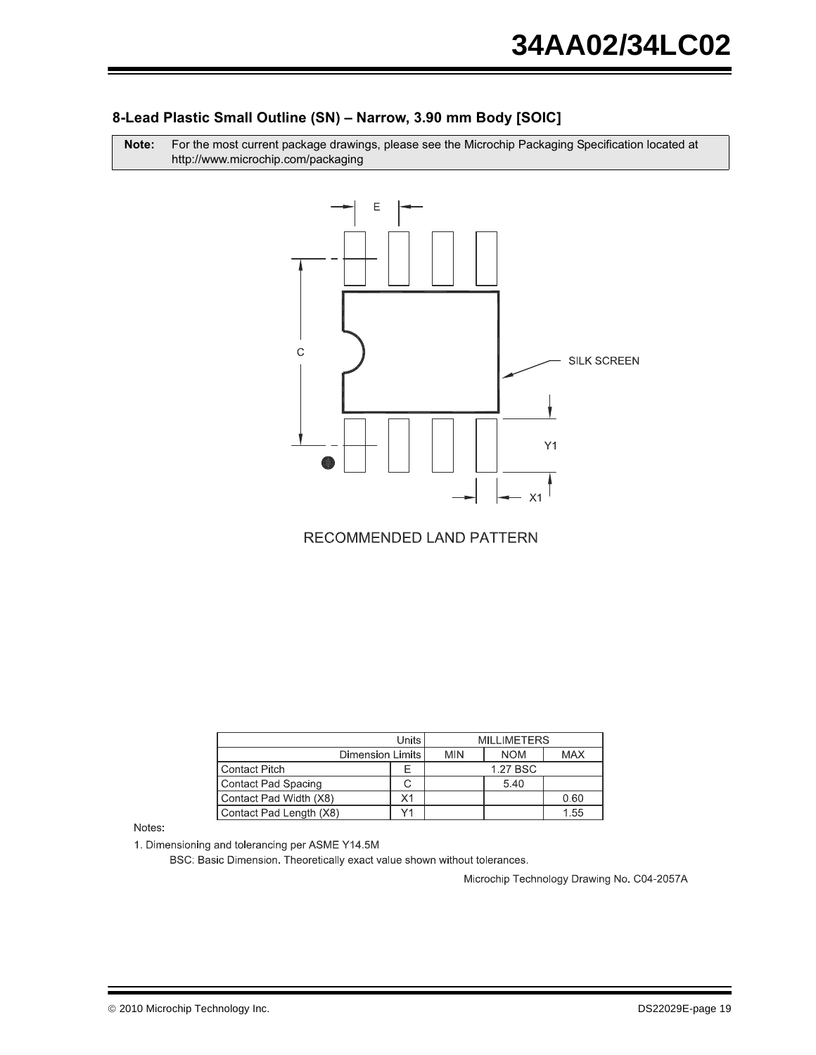#### 8-Lead Plastic Small Outline (SN) - Narrow, 3.90 mm Body [SOIC]

Note: For the most current package drawings, please see the Microchip Packaging Specification located at http://www.microchip.com/packaging

![](_page_18_Figure_3.jpeg)

**RECOMMENDED LAND PATTERN** 

| Units I                      |    |            | <b>MILLIMETERS</b> |            |
|------------------------------|----|------------|--------------------|------------|
| Dimension Limits             |    | <b>MIN</b> | <b>NOM</b>         | <b>MAX</b> |
| <b>Contact Pitch</b>         |    |            | 1.27 BSC           |            |
| Contact Pad Spacing          |    |            | 5.40               |            |
| Contact Pad Width (X8)       | Χ1 |            |                    | 0.60       |
| Contact Pad Length (X8)<br>v |    |            |                    | 1.55       |

Notes:

1. Dimensioning and tolerancing per ASME Y14.5M

BSC: Basic Dimension. Theoretically exact value shown without tolerances.

Microchip Technology Drawing No. C04-2057A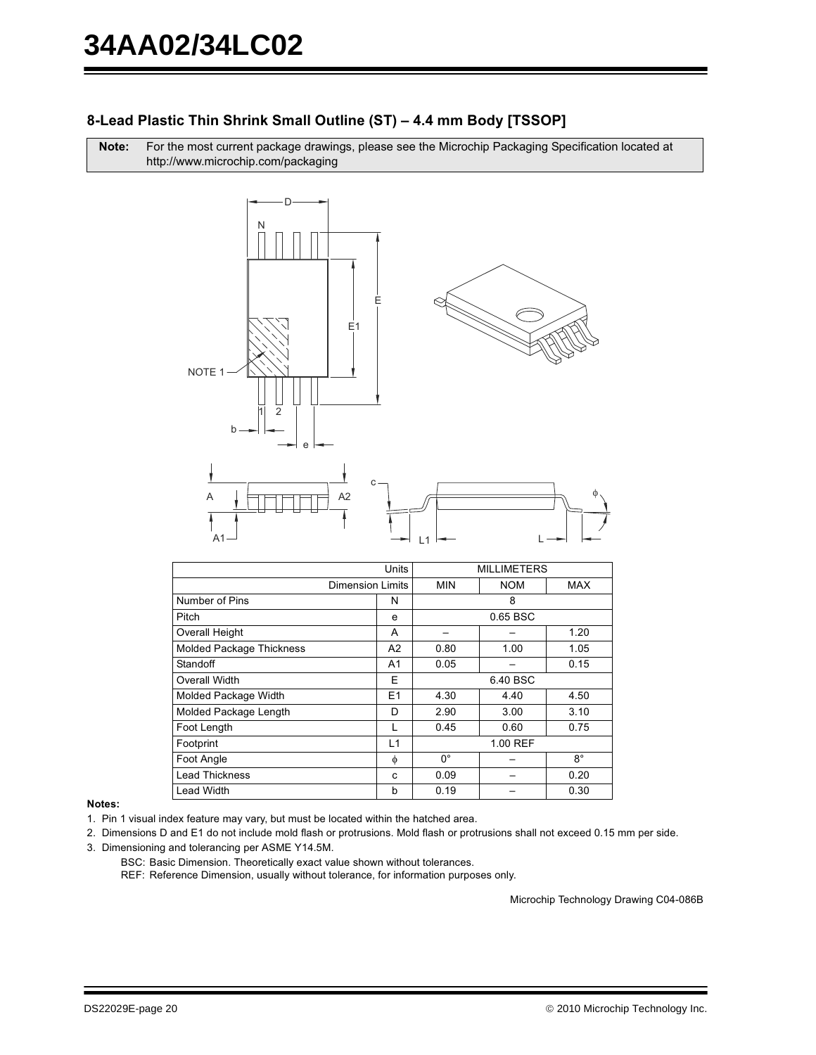## 8-Lead Plastic Thin Shrink Small Outline (ST) - 4.4 mm Body [TSSOP]

Note: For the most current package drawings, please see the Microchip Packaging Specification located at http://www.microchip.com/packaging

![](_page_19_Figure_3.jpeg)

|                                 | <b>Units</b>   |             | <b>MILLIMETERS</b> |             |
|---------------------------------|----------------|-------------|--------------------|-------------|
| <b>Dimension Limits</b>         |                | <b>MIN</b>  | <b>NOM</b>         | MAX         |
| Number of Pins                  | N              |             | 8                  |             |
| Pitch                           | e              |             | 0.65 BSC           |             |
| Overall Height                  | A              |             |                    | 1.20        |
| <b>Molded Package Thickness</b> | A2             | 0.80        | 1.00               | 1.05        |
| Standoff                        | A1             | 0.05        |                    | 0.15        |
| Overall Width                   | Е              |             | 6.40 BSC           |             |
| Molded Package Width            | E <sub>1</sub> | 4.30        | 4.40               | 4.50        |
| Molded Package Length           | D              | 2.90        | 3.00               | 3.10        |
| Foot Length                     |                | 0.45        | 0.60               | 0.75        |
| Footprint                       | L1             |             | 1.00 REF           |             |
| Foot Angle                      | φ              | $0^{\circ}$ |                    | $8^{\circ}$ |
| <b>Lead Thickness</b>           | C              | 0.09        |                    | 0.20        |
| Lead Width                      | b              | 0.19        |                    | 0.30        |

#### Notes:

1. Pin 1 visual index feature may vary, but must be located within the hatched area.

2. Dimensions D and E1 do not include mold flash or protrusions. Mold flash or protrusions shall not exceed 0.15 mm per side.

- 3. Dimensioning and tolerancing per ASME Y14.5M.
	- BSC: Basic Dimension. Theoretically exact value shown without tolerances.

REF: Reference Dimension, usually without tolerance, for information purposes only.

Microchip Technology Drawing C04-086B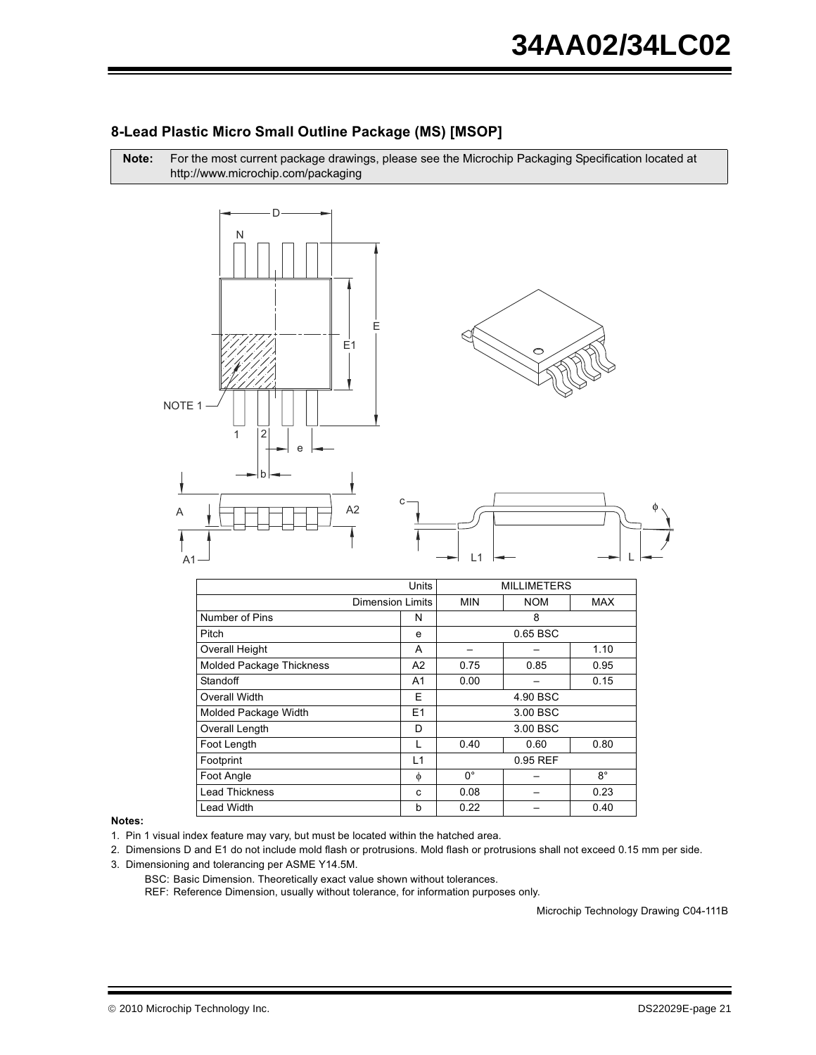![](_page_20_Figure_1.jpeg)

For the most current package drawings, please see the Microchip Packaging Specification located at

#### 8-Lead Plastic Micro Small Outline Package (MS) [MSOP]

**MILLIMETERS** Units **Dimension Limits MIN NOM MAX** Number of Pins  $\mathsf{N}$ 8 Pitch  $\mathsf{e}% _{0}\left( \mathsf{e}_{0}\right)$ 0.65 BSC Overall Height  $\boldsymbol{\mathsf{A}}$ 1.10  $\overline{a}$  $\equiv$ **Molded Package Thickness**  $\overline{A2}$  $0.75$  $0.85$  $0.95$ Standoff  $0.00\,$  $0.15$  $A1$  $\equiv$ **Overall Width**  $\overline{\mathsf{E}}$ 4.90 BSC  $3.00$  BSC Molded Package Width  $E1$ Overall Length  $\overline{D}$ 3.00 BSC Foot Length  $\mathsf L$ 0.40  $0.60$ 0.80 Footprint  $L1$ 0.95 REF Foot Angle  $8^{\circ}$  $\phi$  $0^{\circ}$  $\overline{\phantom{0}}$ **Lead Thickness**  $0.08$  $0.23$  $\mathbf{c}$ **Lead Width**  $0.22$  $0.40$  $\sf b$  $\overline{a}$ 

#### Notes:

Note:

- 1. Pin 1 visual index feature may vary, but must be located within the hatched area.
- 2. Dimensions D and E1 do not include mold flash or protrusions. Mold flash or protrusions shall not exceed 0.15 mm per side.
- 3. Dimensioning and tolerancing per ASME Y14.5M.
	- BSC: Basic Dimension. Theoretically exact value shown without tolerances.
	- REF: Reference Dimension, usually without tolerance, for information purposes only.

Microchip Technology Drawing C04-111B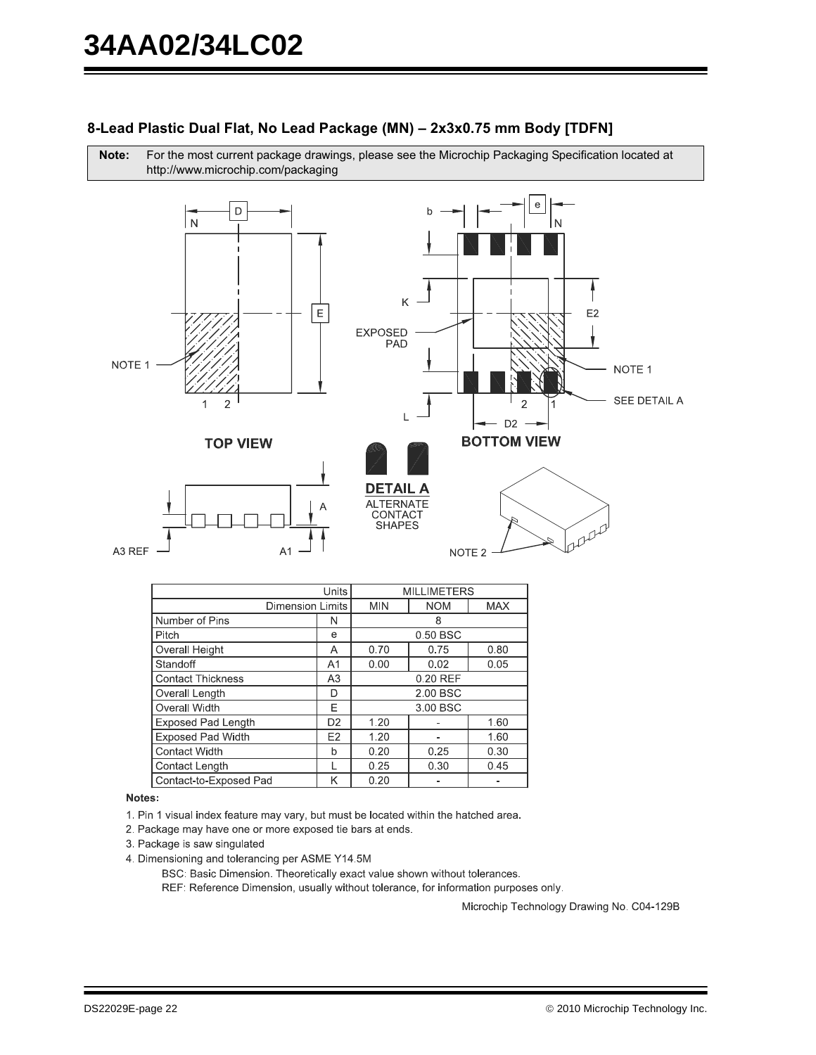#### 8-Lead Plastic Dual Flat, No Lead Package (MN) - 2x3x0.75 mm Body [TDFN]

For the most current package drawings, please see the Microchip Packaging Specification located at Note: http://www.microchip.com/packaging

![](_page_21_Figure_3.jpeg)

| Units                     |                |            | <b>MILLIMETERS</b> |            |
|---------------------------|----------------|------------|--------------------|------------|
| <b>Dimension Limits</b>   |                | <b>MIN</b> | <b>NOM</b>         | <b>MAX</b> |
| Number of Pins            | N              |            | 8                  |            |
| Pitch                     | e              |            | 0.50 BSC           |            |
| Overall Height            | Α              | 0.70       | 0.75               | 0.80       |
| Standoff                  | A <sub>1</sub> | 0.00       | 0.02               | 0.05       |
| <b>Contact Thickness</b>  | A <sub>3</sub> |            | 0.20 REF           |            |
| Overall Length            | D              |            | 2.00 BSC           |            |
| Overall Width             | E              |            | 3.00 BSC           |            |
| <b>Exposed Pad Length</b> | D <sub>2</sub> | 1.20       |                    | 1.60       |
| <b>Exposed Pad Width</b>  | E <sub>2</sub> | 1.20       |                    | 1.60       |
| <b>Contact Width</b>      | b              | 0.20       | 0.25               | 0.30       |
| Contact Length            |                | 0.25       | 0.30               | 0.45       |
| Contact-to-Exposed Pad    | κ              | 0.20       |                    |            |

#### Notes:

1. Pin 1 visual index feature may vary, but must be located within the hatched area.

- 2. Package may have one or more exposed tie bars at ends.
- 3. Package is saw singulated
- 4. Dimensioning and tolerancing per ASME Y14.5M

BSC: Basic Dimension. Theoretically exact value shown without tolerances.

REF: Reference Dimension, usually without tolerance, for information purposes only.

Microchip Technology Drawing No. C04-129B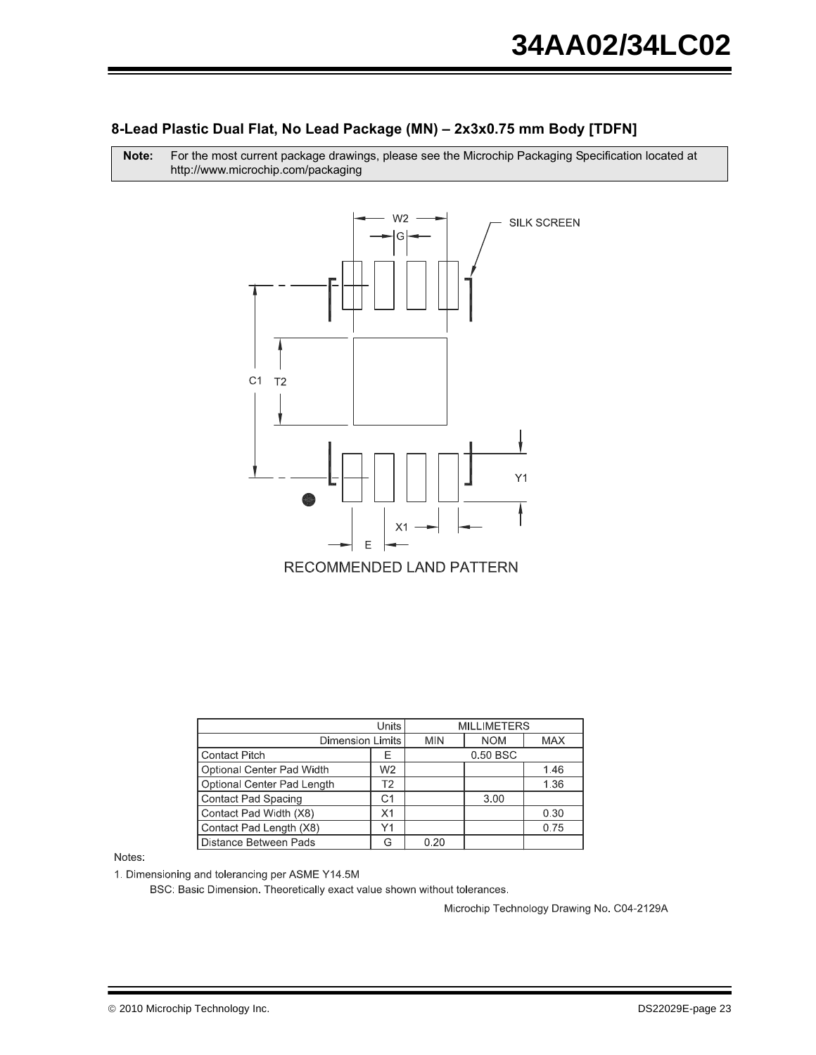#### 8-Lead Plastic Dual Flat, No Lead Package (MN) - 2x3x0.75 mm Body [TDFN]

Note: For the most current package drawings, please see the Microchip Packaging Specification located at http://www.microchip.com/packaging

![](_page_22_Figure_3.jpeg)

| Units                      |                         |      | <b>MILLIMETERS</b> |            |
|----------------------------|-------------------------|------|--------------------|------------|
|                            | <b>Dimension Limits</b> |      | <b>NOM</b>         | <b>MAX</b> |
| <b>Contact Pitch</b>       |                         |      | 0.50 BSC           |            |
| Optional Center Pad Width  | W <sub>2</sub>          |      |                    | 1.46       |
| Optional Center Pad Length | T <sub>2</sub>          |      |                    | 1.36       |
| <b>Contact Pad Spacing</b> | C1                      |      | 3.00               |            |
| Contact Pad Width (X8)     | X1                      |      |                    | 0.30       |
| Contact Pad Length (X8)    | Υ1                      |      |                    | 0.75       |
| Distance Between Pads      |                         | 0.20 |                    |            |

Notes:

1. Dimensioning and tolerancing per ASME Y14.5M

BSC: Basic Dimension. Theoretically exact value shown without tolerances.

Microchip Technology Drawing No. C04-2129A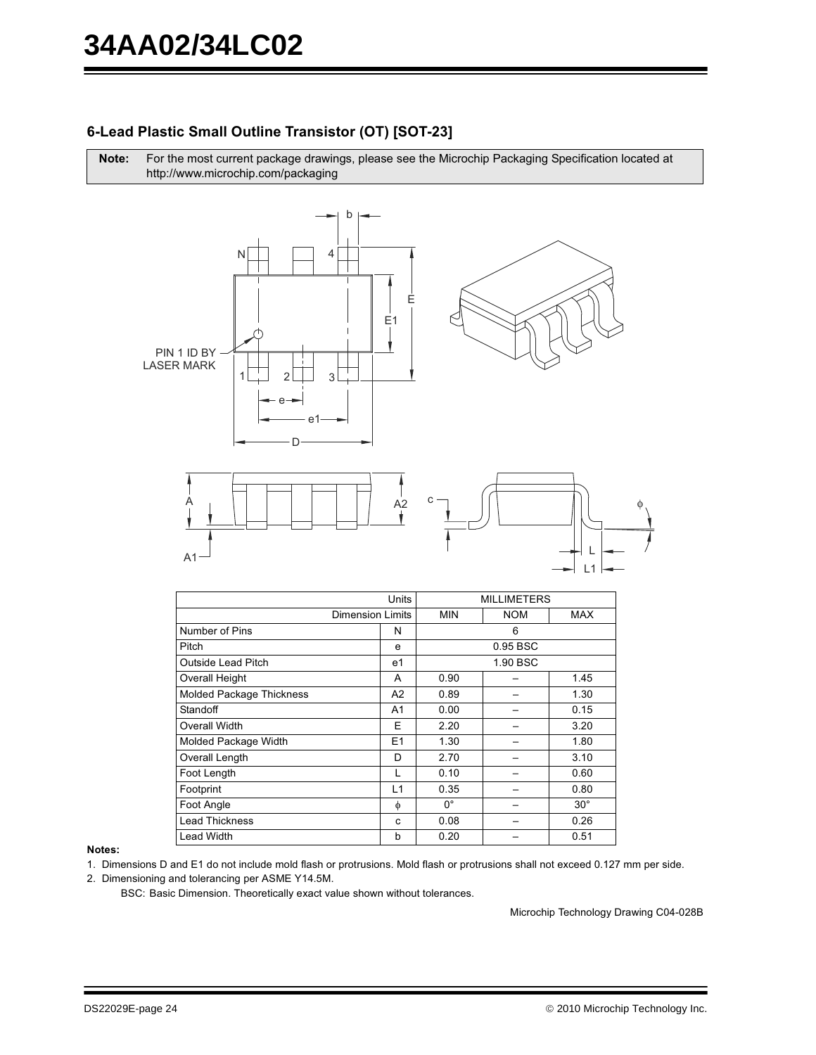## 6-Lead Plastic Small Outline Transistor (OT) [SOT-23]

Note: For the most current package drawings, please see the Microchip Packaging Specification located at http://www.microchip.com/packaging

![](_page_23_Figure_3.jpeg)

![](_page_23_Figure_4.jpeg)

|                                 | Units                   |             | <b>MILLIMETERS</b> |              |
|---------------------------------|-------------------------|-------------|--------------------|--------------|
|                                 | <b>Dimension Limits</b> | <b>MIN</b>  | <b>NOM</b>         | MAX          |
| Number of Pins                  | N                       |             | 6                  |              |
| Pitch                           | e                       |             | 0.95 BSC           |              |
| <b>Outside Lead Pitch</b>       | e1                      |             | 1.90 BSC           |              |
| <b>Overall Height</b>           | A                       | 0.90        |                    | 1.45         |
| <b>Molded Package Thickness</b> | A <sub>2</sub>          | 0.89        |                    | 1.30         |
| Standoff                        | A1                      | 0.00        |                    | 0.15         |
| Overall Width                   | Е                       | 2.20        |                    | 3.20         |
| Molded Package Width            | E <sub>1</sub>          | 1.30        |                    | 1.80         |
| Overall Length                  | D                       | 2.70        |                    | 3.10         |
| Foot Length                     | L                       | 0.10        |                    | 0.60         |
| Footprint                       | L1                      | 0.35        |                    | 0.80         |
| Foot Angle                      | φ                       | $0^{\circ}$ |                    | $30^{\circ}$ |
| <b>Lead Thickness</b>           | C                       | 0.08        |                    | 0.26         |
| <b>Lead Width</b>               | b                       | 0.20        |                    | 0.51         |

#### Notes:

1. Dimensions D and E1 do not include mold flash or protrusions. Mold flash or protrusions shall not exceed 0.127 mm per side.

2. Dimensioning and tolerancing per ASME Y14.5M.

BSC: Basic Dimension. Theoretically exact value shown without tolerances.

Microchip Technology Drawing C04-028B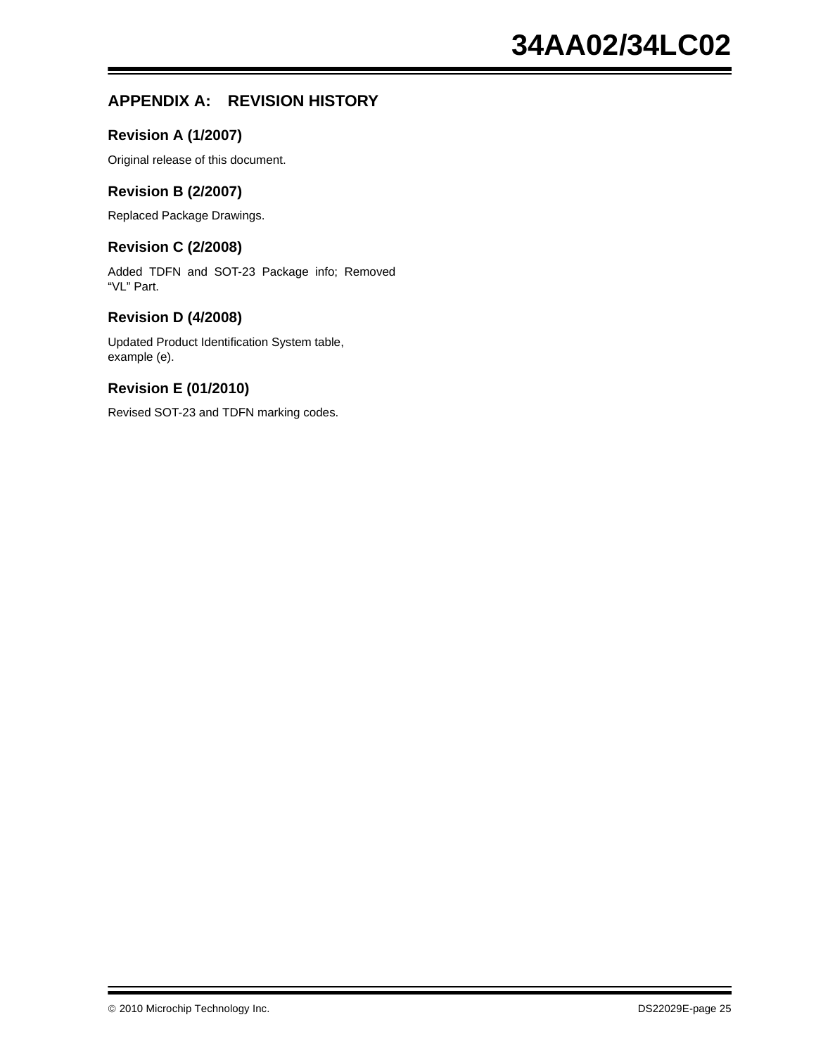## **APPENDIX A: REVISION HISTORY**

#### **Revision A (1/2007)**

Original release of this document.

#### **Revision B (2/2007)**

Replaced Package Drawings.

#### **Revision C (2/2008)**

Added TDFN and SOT-23 Package info; Removed "VL" Part.

#### **Revision D (4/2008)**

Updated Product Identification System table, example (e).

#### **Revision E (01/2010)**

Revised SOT-23 and TDFN marking codes.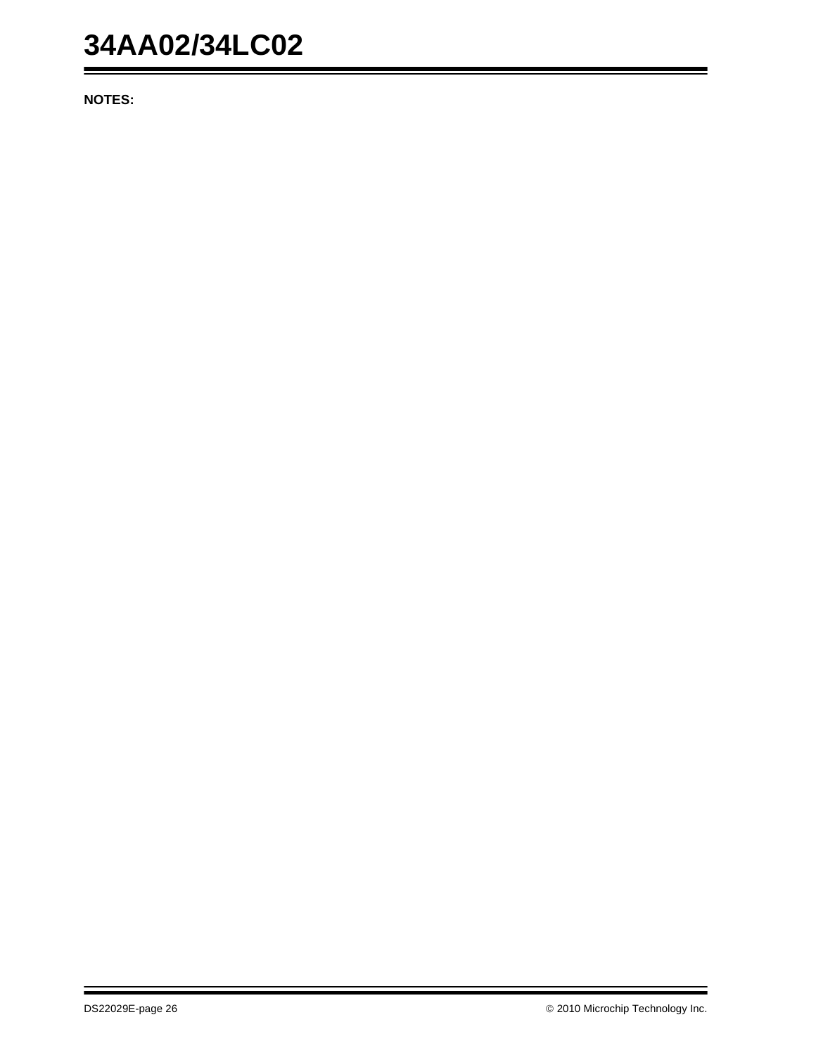## **34AA02/34LC02**

**NOTES:**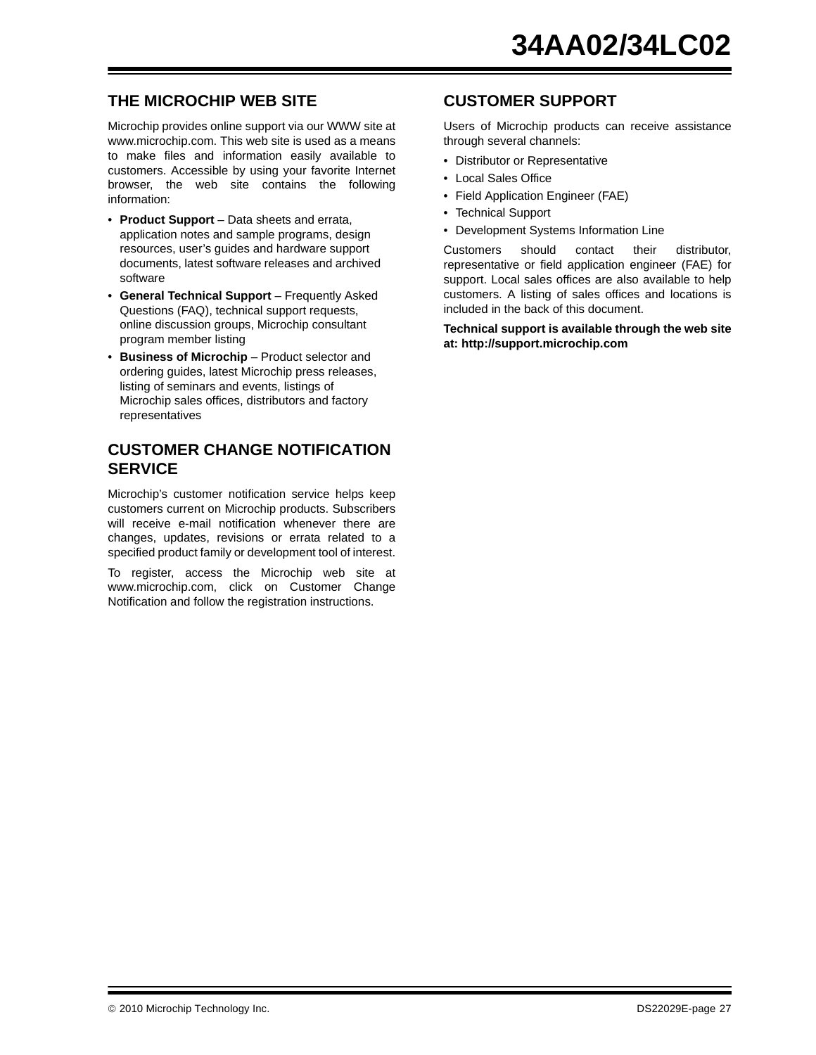## **THE MICROCHIP WEB SITE**

Microchip provides online support via our WWW site at www.microchip.com. This web site is used as a means to make files and information easily available to customers. Accessible by using your favorite Internet browser, the web site contains the following information:

- **Product Support** Data sheets and errata, application notes and sample programs, design resources, user's guides and hardware support documents, latest software releases and archived software
- **General Technical Support** Frequently Asked Questions (FAQ), technical support requests, online discussion groups, Microchip consultant program member listing
- **Business of Microchip** Product selector and ordering guides, latest Microchip press releases, listing of seminars and events, listings of Microchip sales offices, distributors and factory representatives

### **CUSTOMER CHANGE NOTIFICATION SERVICE**

Microchip's customer notification service helps keep customers current on Microchip products. Subscribers will receive e-mail notification whenever there are changes, updates, revisions or errata related to a specified product family or development tool of interest.

To register, access the Microchip web site at www.microchip.com, click on Customer Change Notification and follow the registration instructions.

### **CUSTOMER SUPPORT**

Users of Microchip products can receive assistance through several channels:

- Distributor or Representative
- Local Sales Office
- Field Application Engineer (FAE)
- Technical Support
- Development Systems Information Line

Customers should contact their distributor, representative or field application engineer (FAE) for support. Local sales offices are also available to help customers. A listing of sales offices and locations is included in the back of this document.

**Technical support is available through the web site at: http://support.microchip.com**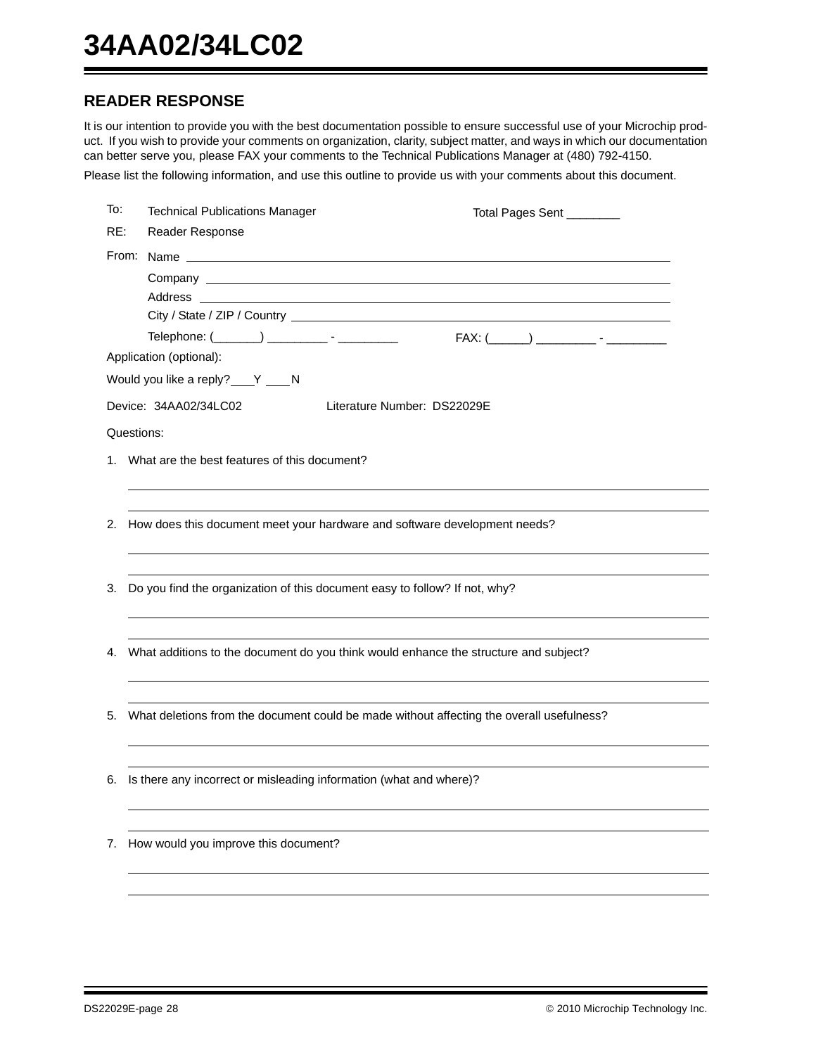## **READER RESPONSE**

It is our intention to provide you with the best documentation possible to ensure successful use of your Microchip product. If you wish to provide your comments on organization, clarity, subject matter, and ways in which our documentation can better serve you, please FAX your comments to the Technical Publications Manager at (480) 792-4150.

Please list the following information, and use this outline to provide us with your comments about this document.

| To: | <b>Technical Publications Manager</b>                              | Total Pages Sent _______                                                                 |
|-----|--------------------------------------------------------------------|------------------------------------------------------------------------------------------|
| RE: | Reader Response                                                    |                                                                                          |
|     |                                                                    |                                                                                          |
|     |                                                                    |                                                                                          |
|     | Address                                                            | ,我们也不会有一个人的人,我们也不会有一个人的人,我们也不会有一个人的人。""我们,我们也不会有一个人的人,我们也不会有一个人的人,我们也不会有一个人的人,我们         |
|     |                                                                    |                                                                                          |
|     | Telephone: (_______) ___________ - ___________                     |                                                                                          |
|     | Application (optional):                                            |                                                                                          |
|     | Would you like a reply? ___ Y ____ N                               |                                                                                          |
|     | Device: 34AA02/34LC02                                              | Literature Number: DS22029E                                                              |
|     | Questions:                                                         |                                                                                          |
|     | 1. What are the best features of this document?                    |                                                                                          |
|     |                                                                    |                                                                                          |
|     |                                                                    |                                                                                          |
|     |                                                                    | 2. How does this document meet your hardware and software development needs?             |
|     |                                                                    |                                                                                          |
| 3.  |                                                                    | Do you find the organization of this document easy to follow? If not, why?               |
|     |                                                                    |                                                                                          |
|     |                                                                    |                                                                                          |
|     |                                                                    | 4. What additions to the document do you think would enhance the structure and subject?  |
|     |                                                                    |                                                                                          |
|     |                                                                    |                                                                                          |
| 5.  |                                                                    | What deletions from the document could be made without affecting the overall usefulness? |
|     |                                                                    |                                                                                          |
| 6.  | Is there any incorrect or misleading information (what and where)? |                                                                                          |
|     |                                                                    |                                                                                          |
|     |                                                                    |                                                                                          |
| 7.  | How would you improve this document?                               |                                                                                          |
|     |                                                                    |                                                                                          |
|     |                                                                    |                                                                                          |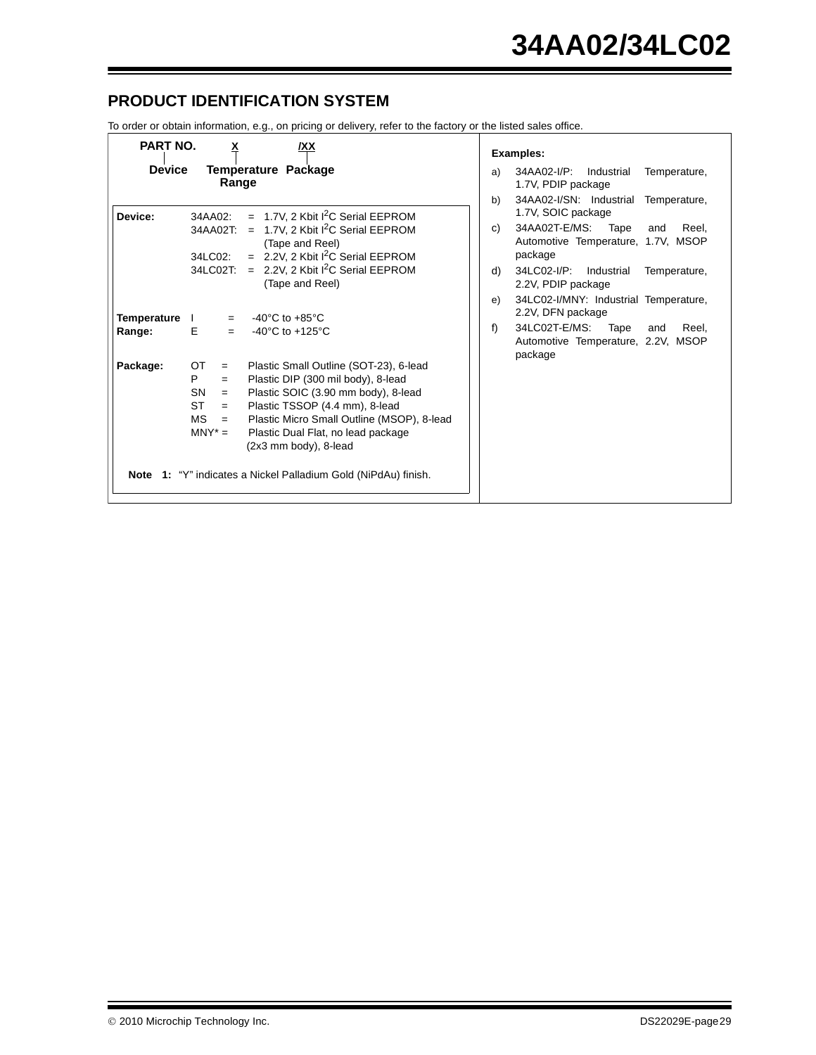## **PRODUCT IDENTIFICATION SYSTEM**

To order or obtain information, e.g., on pricing or delivery, refer to the factory or the listed sales office.

| <b>PART NO.</b>              | ×<br>/XX                                                                                                                                                                                                                                                                                                                                                                                                                              | <b>Examples:</b>                                                                                                                                                                                                                                                |
|------------------------------|---------------------------------------------------------------------------------------------------------------------------------------------------------------------------------------------------------------------------------------------------------------------------------------------------------------------------------------------------------------------------------------------------------------------------------------|-----------------------------------------------------------------------------------------------------------------------------------------------------------------------------------------------------------------------------------------------------------------|
| <b>Device</b>                | Temperature Package<br>Range                                                                                                                                                                                                                                                                                                                                                                                                          | 34AA02-I/P:<br>Industrial<br>Temperature,<br>a)<br>1.7V, PDIP package<br>34AA02-I/SN: Industrial<br>b)<br>Temperature,                                                                                                                                          |
| Device:                      | $= 1.7V$ , 2 Kbit I <sup>2</sup> C Serial EEPROM<br>34AA02:<br>1.7V, 2 Kbit I <sup>2</sup> C Serial EEPROM<br>34AA02T:<br>$=$<br>(Tape and Reel)<br>$= 2.2V$ , 2 Kbit I <sup>2</sup> C Serial EEPROM<br>34LC02:<br>2.2V, 2 Kbit I <sup>2</sup> C Serial EEPROM<br>$=$<br>34LC02T:<br>(Tape and Reel)                                                                                                                                  | 1.7V, SOIC package<br>34AA02T-E/MS:<br>Tape<br>Reel.<br>C)<br>and<br>Automotive Temperature, 1.7V, MSOP<br>package<br>34LC02-I/P:<br>d)<br>Industrial<br>Temperature,<br>2.2V, PDIP package<br>34LC02-I/MNY: Industrial Temperature,<br>e)<br>2.2V, DFN package |
| <b>Temperature</b><br>Range: | $-40^{\circ}$ C to $+85^{\circ}$ C<br>$\mathbf{L}$<br>$=$<br>Е<br>-40 $^{\circ}$ C to +125 $^{\circ}$ C<br>$=$                                                                                                                                                                                                                                                                                                                        | f<br>34LC02T-E/MS:<br>Reel.<br>Tape<br>and<br>Automotive Temperature, 2.2V, MSOP<br>package                                                                                                                                                                     |
| Package:                     | OT<br>Plastic Small Outline (SOT-23), 6-lead<br>$=$<br>P<br>Plastic DIP (300 mil body), 8-lead<br>$=$<br><b>SN</b><br>Plastic SOIC (3.90 mm body), 8-lead<br>$=$<br><b>ST</b><br>Plastic TSSOP (4.4 mm), 8-lead<br>$=$<br>Plastic Micro Small Outline (MSOP), 8-lead<br><b>MS</b><br>$=$<br>$MN^* =$<br>Plastic Dual Flat, no lead package<br>(2x3 mm body), 8-lead<br>Note 1: "Y" indicates a Nickel Palladium Gold (NiPdAu) finish. |                                                                                                                                                                                                                                                                 |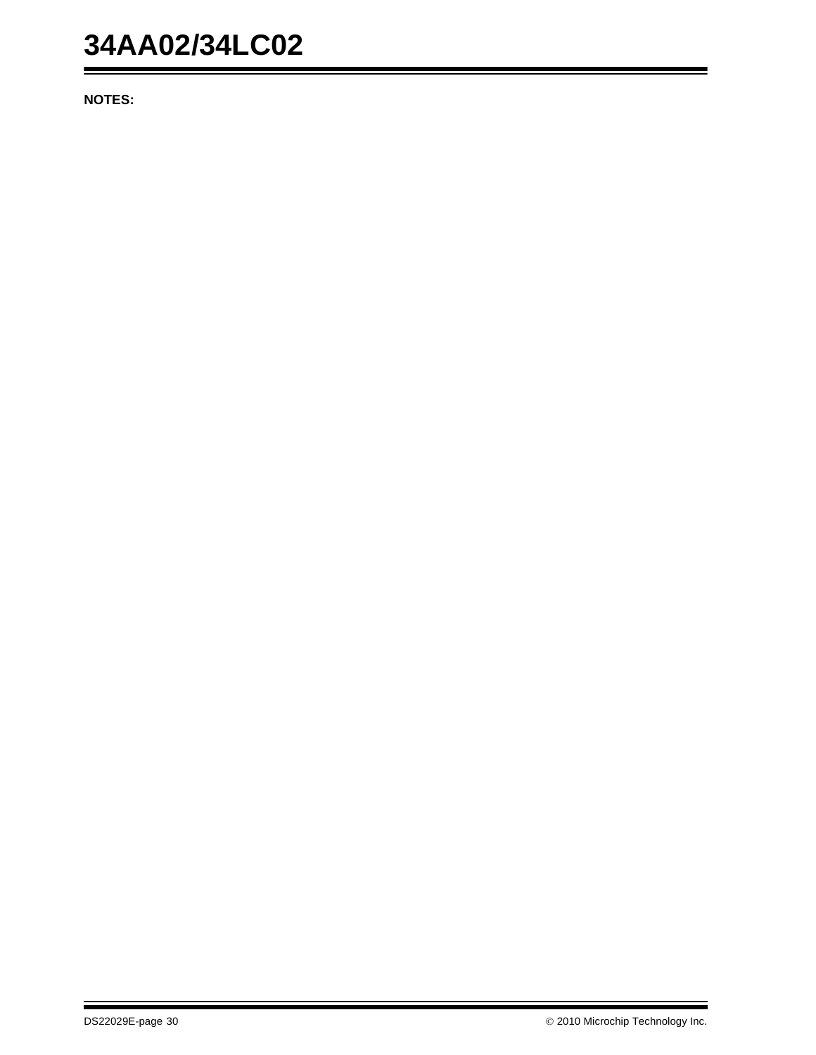## **34AA02/34LC02**

**NOTES:**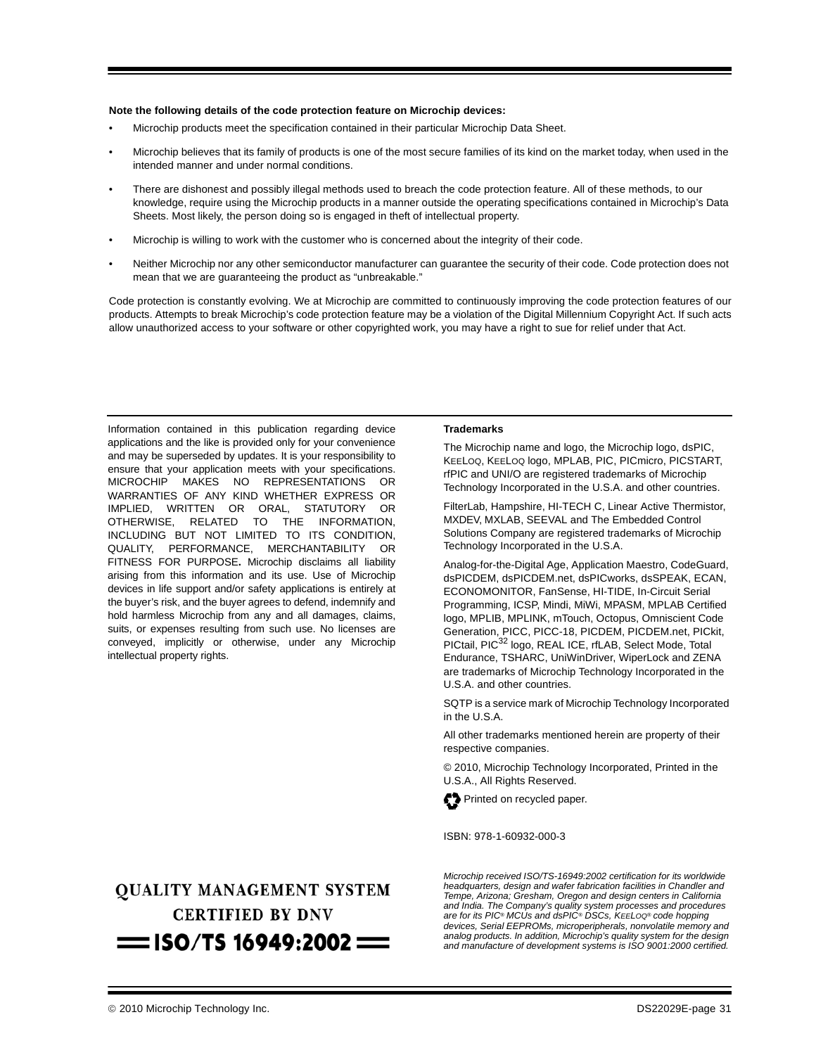#### **Note the following details of the code protection feature on Microchip devices:**

- Microchip products meet the specification contained in their particular Microchip Data Sheet.
- Microchip believes that its family of products is one of the most secure families of its kind on the market today, when used in the intended manner and under normal conditions.
- There are dishonest and possibly illegal methods used to breach the code protection feature. All of these methods, to our knowledge, require using the Microchip products in a manner outside the operating specifications contained in Microchip's Data Sheets. Most likely, the person doing so is engaged in theft of intellectual property.
- Microchip is willing to work with the customer who is concerned about the integrity of their code.
- Neither Microchip nor any other semiconductor manufacturer can guarantee the security of their code. Code protection does not mean that we are guaranteeing the product as "unbreakable."

Code protection is constantly evolving. We at Microchip are committed to continuously improving the code protection features of our products. Attempts to break Microchip's code protection feature may be a violation of the Digital Millennium Copyright Act. If such acts allow unauthorized access to your software or other copyrighted work, you may have a right to sue for relief under that Act.

Information contained in this publication regarding device applications and the like is provided only for your convenience and may be superseded by updates. It is your responsibility to ensure that your application meets with your specifications. MICROCHIP MAKES NO REPRESENTATIONS OR WARRANTIES OF ANY KIND WHETHER EXPRESS OR IMPLIED, WRITTEN OR ORAL, STATUTORY OR OTHERWISE, RELATED TO THE INFORMATION, INCLUDING BUT NOT LIMITED TO ITS CONDITION, QUALITY, PERFORMANCE, MERCHANTABILITY OR FITNESS FOR PURPOSE**.** Microchip disclaims all liability arising from this information and its use. Use of Microchip devices in life support and/or safety applications is entirely at the buyer's risk, and the buyer agrees to defend, indemnify and hold harmless Microchip from any and all damages, claims, suits, or expenses resulting from such use. No licenses are conveyed, implicitly or otherwise, under any Microchip intellectual property rights.

## **QUALITY MANAGEMENT SYSTEM CERTIFIED BY DNV**  $=$  ISO/TS 16949:2002  $=$

#### **Trademarks**

The Microchip name and logo, the Microchip logo, dsPIC, KEELOQ, KEELOQ logo, MPLAB, PIC, PICmicro, PICSTART, rfPIC and UNI/O are registered trademarks of Microchip Technology Incorporated in the U.S.A. and other countries.

FilterLab, Hampshire, HI-TECH C, Linear Active Thermistor, MXDEV, MXLAB, SEEVAL and The Embedded Control Solutions Company are registered trademarks of Microchip Technology Incorporated in the U.S.A.

Analog-for-the-Digital Age, Application Maestro, CodeGuard, dsPICDEM, dsPICDEM.net, dsPICworks, dsSPEAK, ECAN, ECONOMONITOR, FanSense, HI-TIDE, In-Circuit Serial Programming, ICSP, Mindi, MiWi, MPASM, MPLAB Certified logo, MPLIB, MPLINK, mTouch, Octopus, Omniscient Code Generation, PICC, PICC-18, PICDEM, PICDEM.net, PICkit, PICtail, PIC<sup>32</sup> logo, REAL ICE, rfLAB, Select Mode, Total Endurance, TSHARC, UniWinDriver, WiperLock and ZENA are trademarks of Microchip Technology Incorporated in the U.S.A. and other countries.

SQTP is a service mark of Microchip Technology Incorporated in the U.S.A.

All other trademarks mentioned herein are property of their respective companies.

© 2010, Microchip Technology Incorporated, Printed in the U.S.A., All Rights Reserved.

![](_page_30_Picture_16.jpeg)

ISBN: 978-1-60932-000-3

*Microchip received ISO/TS-16949:2002 certification for its worldwide headquarters, design and wafer fabrication facilities in Chandler and Tempe, Arizona; Gresham, Oregon and design centers in California and India. The Company's quality system processes and procedures are for its PIC® MCUs and dsPIC® DSCs, KEELOQ® code hopping devices, Serial EEPROMs, microperipherals, nonvolatile memory and analog products. In addition, Microchip's quality system for the design and manufacture of development systems is ISO 9001:2000 certified.*